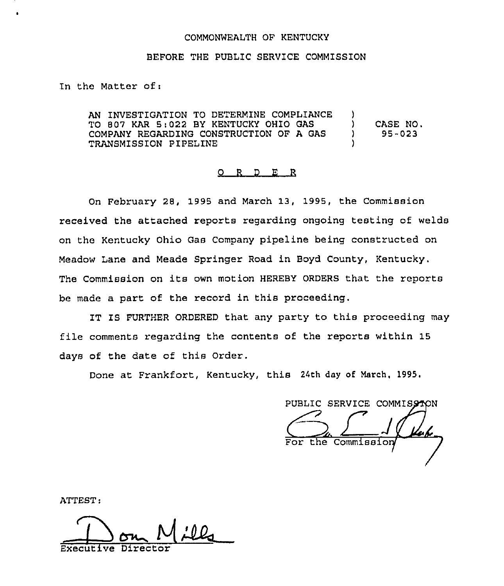## COMMONWEALTH OF KENTUCKY

## BEFORE THE PUBLIC SERVICE COMMISSION

In the Matter of:

AN INVESTIGATION TO DETERMINE COMPLIANCE TO 807 KAR 5:022 BY KENTUCKY OHIO GAS COMPANY REGARDING CONSTRUCTION OF A GAS ) TRANSMISSION PIPELINE ) CASE NO. 95-023

## 0 <sup>R</sup> <sup>D</sup> E R

On February 28, 1995 and March 13, 1995, the Commission received the attached reports regarding ongoing testing of welds on the Kentucky Ohio Gas Company pipeline being constructed on Meadow Lane and Meade Springer Road in Boyd County, Kentucky. The Commission on its own motion HEREBY ORDERS that the reports be made a part of the record in this proceeding.

IT IS FURTHER ORDERED that any party to this proceeding may file comments regarding the contents of the reports within 15 days of the date of this Order.

Done at Frankfort, Kentucky, this 24th day of March, 1995.

PUBLIC SERVICE

ATTEST:

Executive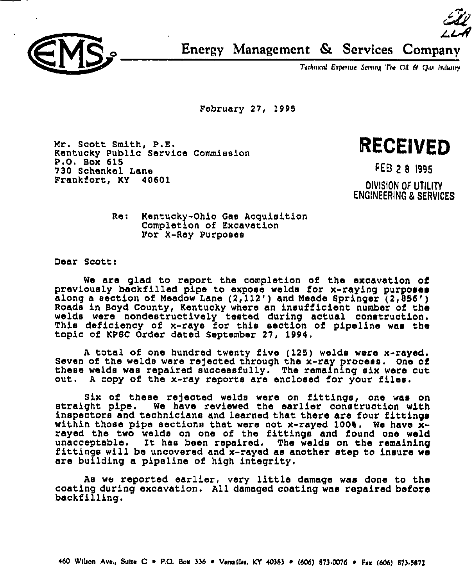

 $24$ Energy Management & Services Company

Technical Experime Serving The Oil & Qui Industry

February 27, 1995

Mr. Scott Smith, P.E. Kentucky Public Service Commission P.O, Box 615 730 Schenkel Lane Frankfort, KY 40601

RECEIVED

FED 2 8 1995

DIVISION OF UTILITY ENGINEERING & SERVICES

Re: Kentucky-Ohio Gas Acquisition Completion of Excavation For X-Ray Purposes

Dear Scott:

We are glad to report the completion of the excavation of previously backfilled pipe to expose welds for x-raying purposes along a section of Meadow Lane (2,112') and Meade Springer (2,856') Roads in Boyd County, Kentucky where an insufficient number of tha welds were nondestructively tested during actual construction. This deficiency of x-rays for this section of pipeline was the topic of KPSC Order dated September 27, 1994.

<sup>A</sup> total of one hundred twenty five (125) walds were x-rayed. Seven of the welds were rejected through the x-ray process. One of<br>these welds was repaired successfully. The remaining six were cut<br>out. A copy of the x-ray reports are enclosed for your files. A copy of the x-ray reports are enclosed for your files.

Six of these rejected welds were on fittings, one was on<br>straight pipe. We have reviewed the earlier construction with inspectors and technicians and learned that there are four fittings within those pipe sections that were not x-rayed 100%. We have  $\bar{x}$ rayed the two welds on one of the fittings and found one weld unacceptable. It has been repaired. The welds on the remaining<br>fittings will be uncovered and x-rayed as another step to insure we are building a pipeline of high integrity.

As we reported earlier, very little damage was done to the coating during excavation. All damaged coating was repaired before backfilling.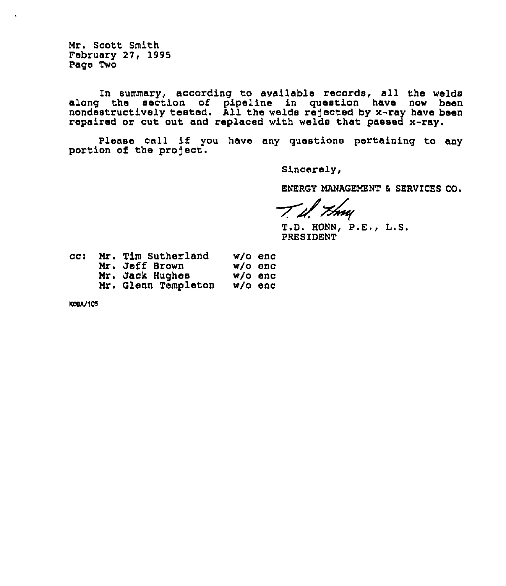Mr. Scott Smith February 27, 1995 Page Two

In summary, according to available records, all the welds along the section of pipeline in question have now been nondestructively tested. All the welds rejected by x-ray have been repaired or cut out and replaced with welds that passed x-ray.

Please call if you have any questions pertaining to any portion of the project.

Sincerely,

ENERGY MANAGEMENT 6 SERVICES CQ.

' *TS*wu

T.D. HONN, P.E., L.S. PRESIDENT

| cc : | Mr. Tim Sutherland  | w/o enc   |
|------|---------------------|-----------|
|      | Mr. Jeff Brown      | w/o enc   |
|      | Mr. Jack Hughes     | $W/O$ enc |
|      | Mr. Glenn Templeton | $w/o$ enc |

KOOA/105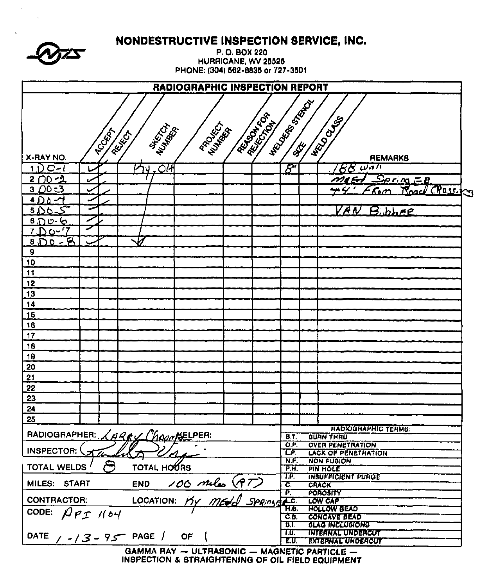| NONDESTRUCTIVE INSPECTION SERVICE, INC.<br>P.O. BOX 220<br>HURRICANE, WV 25526<br>PHONE: (304) 562-6835 or 727-3501 |                                              |                         |                                                       |  |  |  |  |  |  |  |
|---------------------------------------------------------------------------------------------------------------------|----------------------------------------------|-------------------------|-------------------------------------------------------|--|--|--|--|--|--|--|
|                                                                                                                     | <b>RADIOGRAPHIC INSPECTION REPORT</b>        |                         |                                                       |  |  |  |  |  |  |  |
| <b>MARCHA</b><br><b>PCCER</b><br>REIGH                                                                              | Regal 104<br><b>REFERENCE</b><br>PROVECTS    | <b>HELIDORES STATES</b> | <b>HRUDOUG</b>                                        |  |  |  |  |  |  |  |
| X-RAY NO.                                                                                                           |                                              |                         | <b>REMARKS</b>                                        |  |  |  |  |  |  |  |
| $\overline{C}$<br>$C-1$<br>ิป                                                                                       |                                              | $\mathcal{B}^r$         | $BS$ wall                                             |  |  |  |  |  |  |  |
| $200 - 2$                                                                                                           |                                              |                         | $S_{P}$ in $E$                                        |  |  |  |  |  |  |  |
|                                                                                                                     |                                              |                         | Road Crassica<br>r.om                                 |  |  |  |  |  |  |  |
| 4.1) A                                                                                                              |                                              |                         |                                                       |  |  |  |  |  |  |  |
| $5.06-$                                                                                                             |                                              |                         | レドル<br>$Bibb$ re                                      |  |  |  |  |  |  |  |
| $6\,0\,0\cdot6$                                                                                                     |                                              |                         |                                                       |  |  |  |  |  |  |  |
| 7 Do~'7                                                                                                             |                                              |                         |                                                       |  |  |  |  |  |  |  |
| $870 - 8$                                                                                                           |                                              |                         |                                                       |  |  |  |  |  |  |  |
| 9                                                                                                                   |                                              |                         |                                                       |  |  |  |  |  |  |  |
| 10                                                                                                                  |                                              |                         |                                                       |  |  |  |  |  |  |  |
| 11                                                                                                                  |                                              |                         |                                                       |  |  |  |  |  |  |  |
| 12<br>13                                                                                                            |                                              |                         |                                                       |  |  |  |  |  |  |  |
| 14                                                                                                                  |                                              |                         |                                                       |  |  |  |  |  |  |  |
| 15                                                                                                                  |                                              |                         |                                                       |  |  |  |  |  |  |  |
| 16                                                                                                                  |                                              |                         |                                                       |  |  |  |  |  |  |  |
| 17                                                                                                                  |                                              |                         |                                                       |  |  |  |  |  |  |  |
| 18                                                                                                                  |                                              |                         |                                                       |  |  |  |  |  |  |  |
| 19                                                                                                                  |                                              |                         |                                                       |  |  |  |  |  |  |  |
| 20                                                                                                                  |                                              |                         |                                                       |  |  |  |  |  |  |  |
| 21                                                                                                                  |                                              |                         |                                                       |  |  |  |  |  |  |  |
| 22                                                                                                                  |                                              |                         |                                                       |  |  |  |  |  |  |  |
| 23                                                                                                                  |                                              |                         |                                                       |  |  |  |  |  |  |  |
| 24                                                                                                                  |                                              |                         |                                                       |  |  |  |  |  |  |  |
| 25                                                                                                                  |                                              |                         |                                                       |  |  |  |  |  |  |  |
|                                                                                                                     |                                              |                         | <b>HADIOGHAPHIC TERMS:</b>                            |  |  |  |  |  |  |  |
| RADIOGRAPHER: LARKY ChapapteLPER:                                                                                   |                                              | B.T.                    | <b>BURN THRU</b>                                      |  |  |  |  |  |  |  |
| INSPECTOR:                                                                                                          |                                              | O.P.<br>LP.             | <b>OVER PENETRATION</b><br><b>LACK OF PENETRATION</b> |  |  |  |  |  |  |  |
|                                                                                                                     |                                              | N.F.                    | <b>NON FUSION</b>                                     |  |  |  |  |  |  |  |
| <b>TOTAL WELDS /</b><br><b>TOTAL HOURS</b>                                                                          |                                              | $\overline{P.H.}$       | <b>PIN HOLE</b>                                       |  |  |  |  |  |  |  |
| MILES: START                                                                                                        |                                              | IP.<br>Č,               | <b>INSUFFICIENT PURGE</b><br>CRACK                    |  |  |  |  |  |  |  |
|                                                                                                                     | END 100 miles (PT)                           | P.                      | POROBITY                                              |  |  |  |  |  |  |  |
| <b>CONTRACTOR:</b>                                                                                                  |                                              | 2c<br>H.B.              | LOW CAP<br><b>HOLLOW BEAD</b>                         |  |  |  |  |  |  |  |
| CODE: $\beta$ PI 1104                                                                                               |                                              | CE                      | <b>CONCAVE BEAD</b>                                   |  |  |  |  |  |  |  |
|                                                                                                                     |                                              | डा                      | <b>BLAG INCLUBIONS</b>                                |  |  |  |  |  |  |  |
| DATE $/$ - $/$ 3 - 9 $\sim$ PAGE $/$ OF                                                                             |                                              | TU.<br>E.U.             | <u>THTEANAL UNDERCUT</u><br><b>EXTERNAL UNDERCUT</b>  |  |  |  |  |  |  |  |
|                                                                                                                     | GAMMA RAY - ULTRASONIC - MAGNETIC PARTICLE - |                         |                                                       |  |  |  |  |  |  |  |

 $\frac{1}{2}$  $\sim 10$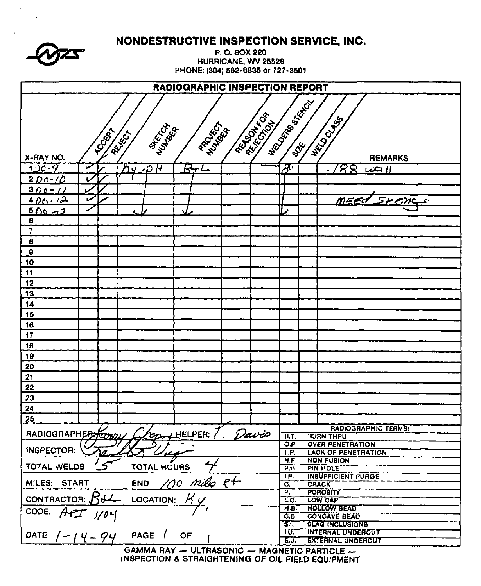|                                |                             | NONDESTRUCTIVE INSPECTION SERVICE, INC.      |                     |                     |                                               |  |  |  |  |  |  |
|--------------------------------|-----------------------------|----------------------------------------------|---------------------|---------------------|-----------------------------------------------|--|--|--|--|--|--|
|                                |                             |                                              | P.O. BOX 220        |                     |                                               |  |  |  |  |  |  |
|                                |                             |                                              | HURRICANE, WV 25526 |                     |                                               |  |  |  |  |  |  |
|                                |                             | PHONE: (304) 562-6835 or 727-3501            |                     |                     |                                               |  |  |  |  |  |  |
| RADIOGRAPHIC INSPECTION REPORT |                             |                                              |                     |                     |                                               |  |  |  |  |  |  |
|                                | <b>HECOCES</b> OSIALISM     |                                              |                     |                     |                                               |  |  |  |  |  |  |
| <b>REATIVES</b>                |                             |                                              |                     |                     |                                               |  |  |  |  |  |  |
|                                |                             |                                              |                     |                     |                                               |  |  |  |  |  |  |
| <b>TCCCCC</b>                  | <b>MARITAN</b><br>Laurent C | PROCESS A                                    |                     |                     | <b>HELD CLAB</b>                              |  |  |  |  |  |  |
|                                |                             |                                              |                     |                     |                                               |  |  |  |  |  |  |
| X-RAY NO.                      |                             |                                              |                     |                     | <b>REMARKS</b>                                |  |  |  |  |  |  |
| $120 - 9$<br>محدا              | 74<br>$\sim$                | $B+L$                                        |                     | ∕फ़                 | 88<br>$L\infty$                               |  |  |  |  |  |  |
| <u> 2 DO-10</u>                |                             |                                              |                     |                     |                                               |  |  |  |  |  |  |
| $300 - 11$                     |                             |                                              |                     |                     | MEEd Spenc                                    |  |  |  |  |  |  |
| $4D_0.12$<br>$500 - 2$         |                             |                                              |                     |                     |                                               |  |  |  |  |  |  |
| $\pmb{6}$                      |                             |                                              |                     |                     |                                               |  |  |  |  |  |  |
| $\overline{7}$                 |                             |                                              |                     |                     |                                               |  |  |  |  |  |  |
| $\boldsymbol{8}$               |                             |                                              |                     |                     |                                               |  |  |  |  |  |  |
| $\pmb{9}$                      |                             |                                              |                     |                     |                                               |  |  |  |  |  |  |
| 10                             |                             |                                              |                     |                     |                                               |  |  |  |  |  |  |
| $\ddagger$                     |                             |                                              |                     |                     |                                               |  |  |  |  |  |  |
| 12                             |                             |                                              |                     |                     |                                               |  |  |  |  |  |  |
| 13                             |                             |                                              |                     |                     |                                               |  |  |  |  |  |  |
| $\overline{14}$                |                             |                                              |                     |                     |                                               |  |  |  |  |  |  |
| 15<br>16                       |                             |                                              |                     |                     |                                               |  |  |  |  |  |  |
| 17                             |                             |                                              |                     |                     |                                               |  |  |  |  |  |  |
| 18                             |                             |                                              |                     |                     |                                               |  |  |  |  |  |  |
| 19                             |                             |                                              |                     |                     |                                               |  |  |  |  |  |  |
| 20                             |                             |                                              |                     |                     |                                               |  |  |  |  |  |  |
| 21                             |                             |                                              |                     |                     |                                               |  |  |  |  |  |  |
| 22                             |                             |                                              |                     |                     |                                               |  |  |  |  |  |  |
| 23                             |                             |                                              |                     |                     |                                               |  |  |  |  |  |  |
| 24                             |                             |                                              |                     |                     |                                               |  |  |  |  |  |  |
| 25                             |                             |                                              |                     |                     |                                               |  |  |  |  |  |  |
| RADIOGRAPHERSTOWY              |                             | OD HELPER:                                   | Davio               |                     | <b>RADIOGRAPHIC TERMS:</b>                    |  |  |  |  |  |  |
|                                |                             |                                              |                     | <b>B.T.</b><br>O.P. | <b>BURN THRU</b><br><b>OVER PENETRATION</b>   |  |  |  |  |  |  |
| <b>INSPECTOR:</b>              |                             |                                              |                     | L.P.                | <b>LACK OF PENETRATION</b>                    |  |  |  |  |  |  |
| TOTAL WELDS                    | TOTAL HOURS                 |                                              |                     | N.F.<br>P.H.        | <b>NON FUBION</b><br>PIN HOLE                 |  |  |  |  |  |  |
|                                |                             |                                              |                     | ТP,                 | INSUFFICIENT PURGE                            |  |  |  |  |  |  |
| MILES: START                   | <b>END</b>                  | <u>100 milo R</u> +                          |                     | C.<br>P.            | <b>CRACK</b><br><b>POROSITY</b>               |  |  |  |  |  |  |
| CONTRACTOR: $54$               | LOCATION:                   |                                              |                     | LC.                 | LOW CAP                                       |  |  |  |  |  |  |
| CODE:<br>$AfT$ $1/0$           |                             |                                              |                     | H.B.                | <b>HOLLOW BEAD</b>                            |  |  |  |  |  |  |
|                                |                             |                                              |                     | C.E.<br>हा.         | <b>CONCAVE BEAD</b><br><b>BLAG INCLUBIONS</b> |  |  |  |  |  |  |
|                                | PAGE (                      | OF                                           |                     | ־ער                 | <b>INTERNAL UNDERCUT</b>                      |  |  |  |  |  |  |
| DATE $1 - 14 - 94$             |                             |                                              |                     | EU.                 | <b>EXTERNAL UNDERCUT</b>                      |  |  |  |  |  |  |
|                                |                             | GAMMA RAY - ULTRASONIC - MAGNETIC PARTICLE - |                     |                     |                                               |  |  |  |  |  |  |

 $\sim$ 

 $\sim$ 

 $\sim 10^{11}$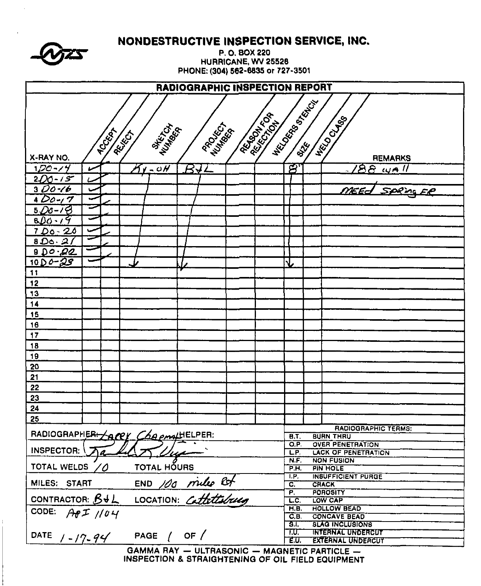|                                    |                                       |                    |          | NONDESTRUCTIVE INSPECTION SERVICE, INC.<br>P.O. BOX 220                                           |                            |                                                 |  |  |  |  |
|------------------------------------|---------------------------------------|--------------------|----------|---------------------------------------------------------------------------------------------------|----------------------------|-------------------------------------------------|--|--|--|--|
|                                    |                                       |                    |          | HURRICANE, WV 25528<br>PHONE: (304) 562-6835 or 727-3501                                          |                            |                                                 |  |  |  |  |
|                                    | <b>RADIOGRAPHIC INSPECTION REPORT</b> |                    |          |                                                                                                   |                            |                                                 |  |  |  |  |
|                                    |                                       |                    |          |                                                                                                   | <b>HECOOS BOOM</b>         |                                                 |  |  |  |  |
|                                    |                                       |                    |          | <b>ARTICLES</b>                                                                                   |                            |                                                 |  |  |  |  |
|                                    |                                       | <b>MAKING</b>      | PROCKETT |                                                                                                   |                            | <b>HECO CLABS</b>                               |  |  |  |  |
|                                    | <b>RCCCCA</b>                         | REIGH              |          |                                                                                                   |                            |                                                 |  |  |  |  |
|                                    |                                       |                    |          |                                                                                                   |                            |                                                 |  |  |  |  |
| X-RAY NO.                          |                                       |                    |          |                                                                                                   |                            | <b>REMARKS</b>                                  |  |  |  |  |
| $100 - 14$                         |                                       | $\gamma$ - 0H      | BYL      |                                                                                                   | $\boldsymbol{\varnothing}$ | $188$ wall                                      |  |  |  |  |
| $200 - 15$                         |                                       |                    |          |                                                                                                   |                            |                                                 |  |  |  |  |
| $3D0-16$<br>$400 - 7$              |                                       |                    |          |                                                                                                   |                            |                                                 |  |  |  |  |
| $5D0-78$                           |                                       |                    |          |                                                                                                   |                            |                                                 |  |  |  |  |
| $800 - 19$                         |                                       |                    |          |                                                                                                   |                            |                                                 |  |  |  |  |
| $700 - 20$                         |                                       |                    |          |                                                                                                   |                            |                                                 |  |  |  |  |
| 800.21                             |                                       |                    |          |                                                                                                   |                            |                                                 |  |  |  |  |
| 900.92                             |                                       |                    |          |                                                                                                   |                            |                                                 |  |  |  |  |
| $10D0 - 25$                        |                                       |                    |          |                                                                                                   |                            |                                                 |  |  |  |  |
| 11                                 |                                       |                    |          |                                                                                                   |                            |                                                 |  |  |  |  |
| 12                                 |                                       |                    |          |                                                                                                   |                            |                                                 |  |  |  |  |
| 13                                 |                                       |                    |          |                                                                                                   |                            |                                                 |  |  |  |  |
| 14                                 |                                       |                    |          |                                                                                                   |                            |                                                 |  |  |  |  |
| 15                                 |                                       |                    |          |                                                                                                   |                            |                                                 |  |  |  |  |
| 16                                 |                                       |                    |          |                                                                                                   |                            |                                                 |  |  |  |  |
| 17                                 |                                       |                    |          |                                                                                                   |                            |                                                 |  |  |  |  |
| 18                                 |                                       |                    |          |                                                                                                   |                            |                                                 |  |  |  |  |
| 19                                 |                                       |                    |          |                                                                                                   |                            |                                                 |  |  |  |  |
| 20                                 |                                       |                    |          |                                                                                                   |                            |                                                 |  |  |  |  |
| 21                                 |                                       |                    |          |                                                                                                   |                            |                                                 |  |  |  |  |
| 22                                 |                                       |                    |          |                                                                                                   |                            |                                                 |  |  |  |  |
| 23                                 |                                       |                    |          |                                                                                                   |                            |                                                 |  |  |  |  |
| 24<br>25                           |                                       |                    |          |                                                                                                   |                            |                                                 |  |  |  |  |
|                                    |                                       |                    |          |                                                                                                   |                            | <b>RADIOGRAPHIC TERMS:</b>                      |  |  |  |  |
| RADIOGRAPHER ACCY CAR email ELPER: |                                       |                    |          |                                                                                                   | <b>B.T.</b>                | <b>BURN THRU</b>                                |  |  |  |  |
| <b>INSPECTOR:</b>                  |                                       |                    |          |                                                                                                   | Q.P.                       | <b>OVER PENETRATION</b>                         |  |  |  |  |
|                                    |                                       |                    |          |                                                                                                   | LP.<br>N.F.                | <b>LACK OF PENETRATION</b><br><b>NON FUSION</b> |  |  |  |  |
| <b>TOTAL WELDS</b>                 | 0                                     | <b>TOTAL HOURS</b> |          |                                                                                                   | P.H.                       | <b>PIN HOLE</b>                                 |  |  |  |  |
|                                    |                                       |                    |          |                                                                                                   | T.P.<br>C.                 | <b>INSUFFICIENT PURGE</b><br><b>CRACK</b>       |  |  |  |  |
|                                    |                                       |                    |          |                                                                                                   | $\overline{P}$             | <b>POROSITY</b>                                 |  |  |  |  |
| MILES: START END 100 miles of      |                                       |                    |          |                                                                                                   | LC.                        | LOW CAP                                         |  |  |  |  |
| CODE: $A \theta I / \theta V$      |                                       |                    |          |                                                                                                   | H.B.<br>C.B.               | <b>HOLLOW BEAD</b><br><b>CONCAVE BEAD</b>       |  |  |  |  |
|                                    |                                       |                    |          |                                                                                                   | 8.Г                        | <b>BLAG INCLUSIONS</b>                          |  |  |  |  |
| DATE $1 - 17 - 94$                 |                                       | PAGE $/$ OF $/$    |          |                                                                                                   | T.U.T                      | <b>INTERNAL UNDERCUT</b>                        |  |  |  |  |
|                                    |                                       |                    |          |                                                                                                   | E.U.                       | <b>EXTERNAL UNDERCUT</b>                        |  |  |  |  |
|                                    |                                       |                    |          | GAMMA RAY - ULTRASONIC - MAGNETIC PARTICLE -<br>INSPECTION & STRAIGHTENING OF OIL FIELD EQUIPMENT |                            |                                                 |  |  |  |  |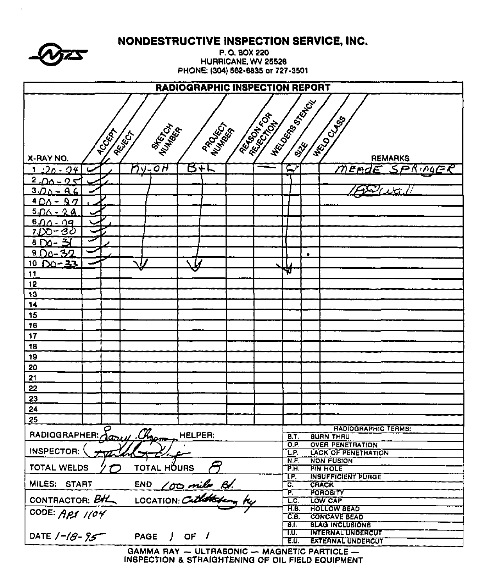|                                                                            |                                     | NONDESTRUCTIVE INSPECTION SERVICE, INC. |                     |                                           |                                                      |
|----------------------------------------------------------------------------|-------------------------------------|-----------------------------------------|---------------------|-------------------------------------------|------------------------------------------------------|
|                                                                            |                                     |                                         | P.O. BOX 220        |                                           |                                                      |
|                                                                            |                                     | PHONE: (304) 562-6835 or 727-3501       | HURRICANE, WV 25526 |                                           |                                                      |
|                                                                            |                                     |                                         |                     |                                           |                                                      |
|                                                                            |                                     | <b>RADIOGRAPHIC INSPECTION REPORT</b>   |                     |                                           |                                                      |
|                                                                            |                                     |                                         |                     | <b>HECOSSIDE BASE</b>                     |                                                      |
|                                                                            |                                     |                                         | <b>REGISTER</b>     |                                           | <b>HECO CLUBS</b>                                    |
|                                                                            | <b>MARTIN</b>                       | PROCESS T                               |                     |                                           |                                                      |
|                                                                            | <b>TOCKAT</b><br>REIGH              |                                         |                     |                                           |                                                      |
| X-RAY NO.                                                                  |                                     |                                         |                     |                                           | <b>REMARKS</b>                                       |
| $1.90 - 94$                                                                | $2y$ -OH                            | スケヒ                                     |                     | $\mathcal{F}$                             | End<br>E SPRINGER                                    |
| $2.00 - 25$                                                                |                                     |                                         |                     |                                           |                                                      |
| $3D_0 - 96$                                                                |                                     |                                         |                     |                                           |                                                      |
| $400 - 97$                                                                 |                                     |                                         |                     |                                           |                                                      |
| $5.00 - 28$                                                                |                                     |                                         |                     |                                           |                                                      |
| $6.00 - 09$                                                                |                                     |                                         |                     |                                           |                                                      |
| 7DO-30                                                                     |                                     |                                         |                     |                                           |                                                      |
| $8\sqrt{2}-3$                                                              |                                     |                                         |                     |                                           |                                                      |
| $800 - 32$<br>$D0 - 33$<br>10                                              |                                     |                                         |                     | ٠                                         |                                                      |
| 11                                                                         |                                     |                                         |                     | v.                                        |                                                      |
| 12                                                                         |                                     |                                         |                     |                                           |                                                      |
| 13                                                                         |                                     |                                         |                     |                                           |                                                      |
| 14                                                                         |                                     |                                         |                     |                                           |                                                      |
| 15                                                                         |                                     |                                         |                     |                                           |                                                      |
| 16                                                                         |                                     |                                         |                     |                                           |                                                      |
| 17                                                                         |                                     |                                         |                     |                                           |                                                      |
| 18                                                                         |                                     |                                         |                     |                                           |                                                      |
| 19<br>20                                                                   |                                     |                                         |                     |                                           |                                                      |
| 21                                                                         |                                     |                                         |                     |                                           |                                                      |
| 22                                                                         |                                     |                                         |                     |                                           |                                                      |
| 23                                                                         |                                     |                                         |                     |                                           |                                                      |
| 24                                                                         |                                     |                                         |                     |                                           |                                                      |
| 25                                                                         |                                     |                                         |                     |                                           |                                                      |
| RADIOGRAPHER: Jany, Chago                                                  |                                     | HELPER.                                 |                     | <b>B.T.</b>                               | <b>RADIOGRAPHIC TERMS:</b><br><b>BUAN THAU</b>       |
|                                                                            |                                     |                                         |                     | O.P.                                      | <b>OVER PENETRATION</b>                              |
| <b>INSPECTOR:</b>                                                          |                                     |                                         |                     | L.P.<br>N.F.                              | <b>LACK OF PENETRATION</b><br><b>NON FUSION</b>      |
| TOTAL WELDS                                                                | TOTAL HOURS                         |                                         |                     | PH.                                       | <b>PIN HOLE</b>                                      |
|                                                                            |                                     |                                         |                     | T.P.                                      | <b>INSUFFICIENT PURGE</b>                            |
| MILES: START END 100 miles Bl.<br>CONTRACTOR: BHL LOCATION: Catholic by ty |                                     |                                         |                     | $\mathbf{C}$<br>$\overline{\mathsf{P}}$ . | <b>CRACK</b><br><b>POROSITY</b>                      |
|                                                                            |                                     |                                         |                     | T.C.                                      | LOW CAP                                              |
| CODE: APS 1104                                                             |                                     |                                         |                     | H.B.<br>C.B                               | <b>HOLLOW BEAD</b><br><b>CONCAVE BEAD</b>            |
|                                                                            |                                     |                                         |                     | Ŧ.                                        | <b>SLAG INCLUSIONS</b>                               |
| DATE $/ -18 - 95$                                                          | PAGE $\frac{1}{2}$ OF $\frac{1}{2}$ |                                         |                     | TU.<br>EU.                                | <b>INTERNAL UNDERCUT</b><br><b>EXTERNAL UNDERCUY</b> |
|                                                                            |                                     |                                         |                     |                                           |                                                      |

 $\mathcal{A}^{\pm}$ 

GAMMA RAY - ULTRASONIC - MAGNETIC PARTICLE -<br>INSPECTION & STRAIGHTENING OF OIL FIELD EQUIPMENT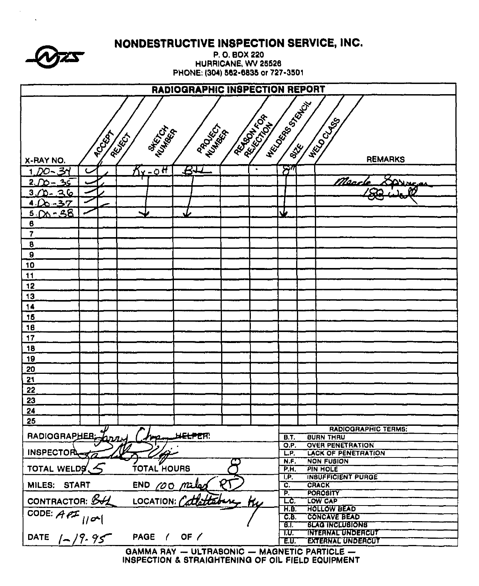NONDESTRUCTIVE INSPECTION SERVICE, INC.

P.O. BOX 220 HURRICANE, WV 25526 PHONE: (304) 562-6835 or 727-3501

| RADIOGRAPHIC INSPECTION REPORT                                                                                                           |              |                       |   |           |                         |                                               |  |  |  |
|------------------------------------------------------------------------------------------------------------------------------------------|--------------|-----------------------|---|-----------|-------------------------|-----------------------------------------------|--|--|--|
| <b>HECONOR BOOM</b><br><b>REATIVES</b><br><b>HELD CLUBS</b><br>PROVECT<br><b>AKER</b> CH<br>WANTAGE<br>Rockey<br>REIGH<br><b>REMARKS</b> |              |                       |   |           |                         |                                               |  |  |  |
| X-RAY NO.<br>3۳<br>- ממ                                                                                                                  | $S$ r - 0 H  | $\bm{B}$              |   | $\bullet$ | $\bm{\mathcal{B}}''$    |                                               |  |  |  |
|                                                                                                                                          |              |                       |   |           |                         | Narch                                         |  |  |  |
| 2.<br>ዔር                                                                                                                                 |              |                       |   |           |                         | ANNCA                                         |  |  |  |
| 36<br>З.                                                                                                                                 |              |                       |   |           |                         | ïО                                            |  |  |  |
| 4. $0 - 37$                                                                                                                              |              |                       |   |           |                         |                                               |  |  |  |
| $500 - 38$                                                                                                                               |              |                       |   |           | W                       |                                               |  |  |  |
| 6                                                                                                                                        |              |                       |   |           |                         |                                               |  |  |  |
| $\overline{7}$                                                                                                                           |              |                       |   |           |                         |                                               |  |  |  |
| 8                                                                                                                                        |              |                       |   |           |                         |                                               |  |  |  |
| $\overline{9}$                                                                                                                           |              |                       |   |           |                         |                                               |  |  |  |
| 10                                                                                                                                       |              |                       |   |           |                         |                                               |  |  |  |
| 11                                                                                                                                       |              |                       |   |           |                         |                                               |  |  |  |
| 12                                                                                                                                       |              |                       |   |           |                         |                                               |  |  |  |
| 13                                                                                                                                       |              |                       |   |           |                         |                                               |  |  |  |
| 14                                                                                                                                       |              |                       |   |           |                         |                                               |  |  |  |
| 15                                                                                                                                       |              |                       |   |           |                         |                                               |  |  |  |
| 16                                                                                                                                       |              |                       |   |           |                         |                                               |  |  |  |
| 17                                                                                                                                       |              |                       |   |           |                         |                                               |  |  |  |
| 18                                                                                                                                       |              |                       |   |           |                         |                                               |  |  |  |
| 19                                                                                                                                       |              |                       |   |           |                         |                                               |  |  |  |
| 20                                                                                                                                       |              |                       |   |           |                         |                                               |  |  |  |
| 21                                                                                                                                       |              |                       |   |           |                         |                                               |  |  |  |
| 22                                                                                                                                       |              |                       |   |           |                         |                                               |  |  |  |
| 23                                                                                                                                       |              |                       |   |           |                         |                                               |  |  |  |
| 24                                                                                                                                       |              |                       |   |           |                         |                                               |  |  |  |
| 25                                                                                                                                       |              |                       |   |           |                         |                                               |  |  |  |
|                                                                                                                                          |              |                       |   |           |                         | <b>RADIOGRAPHIC TERMS:</b>                    |  |  |  |
| RADIOGRAPHER                                                                                                                             | بعدته        | h <del>elpe</del> r:  |   |           | B.T.<br>$\overline{OP}$ | <b>BURN THRU</b><br><b>OVER PENETRATION</b>   |  |  |  |
| INSPECTOR TO 14                                                                                                                          |              |                       |   |           | L.P.                    | <b>LACK OF PENETRATION</b>                    |  |  |  |
|                                                                                                                                          |              |                       |   |           | N.F                     | <b>NON FUBION</b>                             |  |  |  |
| TOTAL WELDS $\lesssim$                                                                                                                   | TOTAL HOURS  |                       |   |           | P.H.                    | <b>PIN HOLE</b>                               |  |  |  |
| MILES: START                                                                                                                             | END 00 miles |                       | श |           | T.P.<br>ट.              | <b>INBUFFICIENT PURGE</b><br><b>CRACK</b>     |  |  |  |
|                                                                                                                                          |              |                       |   |           | P.                      | <b>POROSITY</b>                               |  |  |  |
| CONTRACTOR: BIL                                                                                                                          |              | LOCATION: Cattatabure |   | <u>tu</u> | $\overline{\mathbb{C}}$ | LOW CAP                                       |  |  |  |
| CODE: $\overline{A}P^{\pm}$ // $\alpha$ /                                                                                                |              |                       |   |           | H.B.                    | <b>HOLLOW BEAD</b>                            |  |  |  |
|                                                                                                                                          |              |                       |   |           | CE<br>T BT.             | <b>CONCAVE BEAD</b><br><b>BLAG INCLUBIONS</b> |  |  |  |
|                                                                                                                                          |              |                       |   |           | TU.                     | <b>INTERNAL UNDERCUT</b>                      |  |  |  |
| DATE $1 - 19.95$                                                                                                                         | PAGE / OF /  |                       |   |           | EU.                     | <b>EXTERNAL UNDERCUT</b>                      |  |  |  |

GAMMA RAY - ULTRABONIC - MAGNETIC PARTICLE -INSPECTION & STRAIGHTENING OF OIL FIELD EQUIPMENT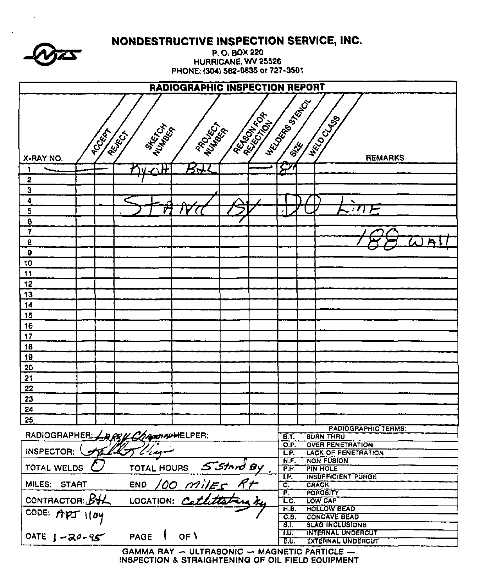| $\blacktriangledown$<br>$\mathbf{W}$ |
|--------------------------------------|
|--------------------------------------|

NONDESTRUCTIVE INSPECTION SERVICE, INC.

P.O. BOX 220 HURRICANE, WV 25526 PHONE: (304) 562-6835 or 727-3501

| <b>RADIOGRAPHIC INSPECTION REPORT</b>   |                                                                                                             |  |  |               |             |      |  |                           |  |                                                      |
|-----------------------------------------|-------------------------------------------------------------------------------------------------------------|--|--|---------------|-------------|------|--|---------------------------|--|------------------------------------------------------|
| X-RAY NO.                               | HECONOR BRACK<br><b>ARIAN READ</b><br><b>HECO CLUBS</b><br>Multiport<br>PROCESS T<br><b>TOCKAT</b><br>REIGH |  |  |               |             |      |  |                           |  |                                                      |
|                                         |                                                                                                             |  |  | $\triangle$ H | 57          |      |  | $\boldsymbol{\varSigma}$  |  | <b>REMARKS</b>                                       |
| 2                                       |                                                                                                             |  |  |               |             |      |  |                           |  |                                                      |
| 3                                       |                                                                                                             |  |  |               |             |      |  |                           |  |                                                      |
| 4                                       |                                                                                                             |  |  |               |             |      |  |                           |  |                                                      |
| 5                                       |                                                                                                             |  |  | ŷ             |             |      |  |                           |  |                                                      |
| $\bf{6}$                                |                                                                                                             |  |  |               |             |      |  |                           |  |                                                      |
| $\overline{\mathbf{r}}$                 |                                                                                                             |  |  |               |             |      |  |                           |  |                                                      |
| 8                                       |                                                                                                             |  |  |               |             |      |  |                           |  | $\overline{P}$                                       |
| $\boldsymbol{9}$                        |                                                                                                             |  |  |               |             |      |  |                           |  |                                                      |
| 10                                      |                                                                                                             |  |  |               |             |      |  |                           |  |                                                      |
| $\ddot{\phantom{1}}$                    |                                                                                                             |  |  |               |             |      |  |                           |  |                                                      |
| 12                                      |                                                                                                             |  |  |               |             |      |  |                           |  |                                                      |
| 13                                      |                                                                                                             |  |  |               |             |      |  |                           |  |                                                      |
| 14                                      |                                                                                                             |  |  |               |             |      |  |                           |  |                                                      |
| 15                                      |                                                                                                             |  |  |               |             |      |  |                           |  |                                                      |
| 16                                      |                                                                                                             |  |  |               |             |      |  |                           |  |                                                      |
| 17                                      |                                                                                                             |  |  |               |             |      |  |                           |  |                                                      |
| 18                                      |                                                                                                             |  |  |               |             |      |  |                           |  |                                                      |
| 19                                      |                                                                                                             |  |  |               |             |      |  |                           |  |                                                      |
| 20                                      |                                                                                                             |  |  |               |             |      |  |                           |  |                                                      |
| 21                                      |                                                                                                             |  |  |               |             |      |  |                           |  |                                                      |
| 22                                      |                                                                                                             |  |  |               |             |      |  |                           |  |                                                      |
| 23                                      |                                                                                                             |  |  |               |             |      |  |                           |  |                                                      |
| 24                                      |                                                                                                             |  |  |               |             |      |  |                           |  |                                                      |
| 25                                      |                                                                                                             |  |  |               |             |      |  |                           |  |                                                      |
|                                         |                                                                                                             |  |  |               |             |      |  |                           |  | <b>RADIOGRAPHIC TERMS:</b>                           |
| RADIOGRAPHER: $\angle$ RQUChamAUHELPER: |                                                                                                             |  |  |               |             |      |  | <b>B.T.</b><br>O.P.       |  | <b>BURN THRU</b><br><b>OVER PENETRATION</b>          |
|                                         |                                                                                                             |  |  |               |             |      |  | L.P.                      |  | <b>LACK OF PENETRATION</b>                           |
|                                         | INSPECTOR: Faller Clay                                                                                      |  |  |               |             | N.F. |  | <b>NON FUSION</b>         |  |                                                      |
|                                         | TOTAL HOURS 5 Stand by<br>END /00 MilEs Rt<br>LOCATION: Cathotary ky<br>TOTAL WELDS $\mathcal{C}$           |  |  |               |             |      |  | $\overline{P.H.}$<br>T.P. |  | PIN HOLE<br><b>INSUFFICIENT PURGE</b>                |
| MILES: START                            |                                                                                                             |  |  |               |             |      |  | <b>c.</b>                 |  | <b>CRACK</b>                                         |
|                                         |                                                                                                             |  |  |               |             |      |  | P.                        |  | <b>POROSITY</b>                                      |
| CONTRACTOR: BUL                         |                                                                                                             |  |  |               |             |      |  | LC.<br>H.B.               |  | LOW CAP<br><b>HOLLOW BEAD</b>                        |
| CODE: APT 1104                          |                                                                                                             |  |  |               |             |      |  | C.B.                      |  | <b>CONCAVE BEAD</b>                                  |
|                                         |                                                                                                             |  |  |               |             |      |  | -6.Τ                      |  | <b>SLAG INCLUSIONS</b>                               |
| DATE $1 - 20 - 95$                      |                                                                                                             |  |  |               | PAGE   OF \ |      |  | T.U.<br>E.U.              |  | <b>INTERNAL UNDERCUT</b><br><b>EXTERNAL UNDERCUT</b> |
|                                         |                                                                                                             |  |  |               |             |      |  |                           |  |                                                      |

GAMMA RAY - ULTRASONIC - MAGNETIC PARTICLE -<br>INSPECTION & STRAIGHTENING OF OIL FIELD EQUIPMENT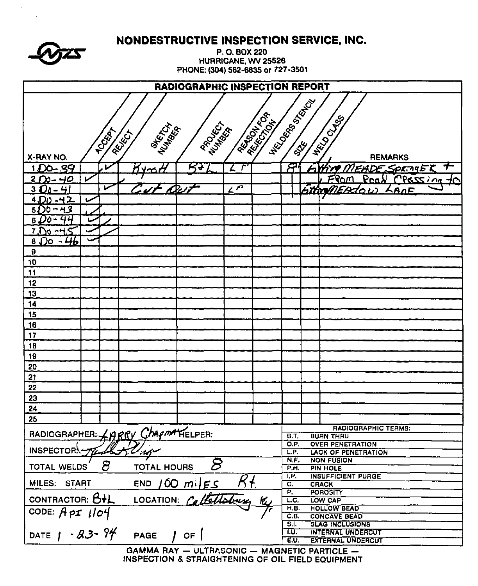|                                                  |   |              | NONDESTRUCTIVE INSPECTION SERVICE, INC.    |                                   |                     |                 |                     |                            |                                              |  |
|--------------------------------------------------|---|--------------|--------------------------------------------|-----------------------------------|---------------------|-----------------|---------------------|----------------------------|----------------------------------------------|--|
|                                                  |   |              |                                            |                                   | P.O. BOX 220        |                 |                     |                            |                                              |  |
|                                                  |   |              |                                            | PHONE: (304) 562-6835 or 727-3501 | HURRICANE, WV 25526 |                 |                     |                            |                                              |  |
|                                                  |   |              |                                            |                                   |                     |                 |                     |                            |                                              |  |
| RADIOGRAPHIC INSPECTION REPORT<br>HECONOR STATES |   |              |                                            |                                   |                     |                 |                     |                            |                                              |  |
|                                                  |   |              |                                            |                                   |                     |                 |                     |                            |                                              |  |
|                                                  |   |              |                                            |                                   |                     |                 |                     |                            |                                              |  |
|                                                  |   |              |                                            |                                   |                     |                 |                     |                            |                                              |  |
|                                                  |   | <b>PCCER</b> | REIGH                                      | <b>RROUTE</b> S                   |                     |                 |                     |                            |                                              |  |
| X-RAY NO.                                        |   |              | <b>MARTIN</b>                              | Number                            |                     | <b>REGISTER</b> |                     |                            | NECO CLASS<br><b>REMARKS</b>                 |  |
| 1DO-39                                           |   | M            | ≃≃                                         | न्दर                              | r                   |                 | 8                   |                            | ┯<br><b>EADE SPRINGER</b>                    |  |
| 2 $0 - 40$                                       | び |              |                                            |                                   |                     |                 |                     |                            | <u>From</u><br>CPOSSION<br>Pra               |  |
| $3D_0$ –<br>4                                    |   | ✔            |                                            |                                   | $2\overline{P}$     |                 |                     |                            | hthrenEAdor<br>AnF                           |  |
| -42<br>4.IDD                                     |   |              |                                            |                                   |                     |                 |                     |                            |                                              |  |
| $-43$<br>51) D                                   |   |              |                                            |                                   |                     |                 |                     |                            |                                              |  |
| 6                                                |   |              |                                            |                                   |                     |                 |                     |                            |                                              |  |
| 7 J<br>Do - <del>ЧЬ</del>                        |   |              |                                            |                                   |                     |                 |                     |                            |                                              |  |
| 8<br>9                                           |   |              |                                            |                                   |                     |                 |                     |                            |                                              |  |
| 10                                               |   |              |                                            |                                   |                     |                 |                     |                            |                                              |  |
| 11                                               |   |              |                                            |                                   |                     |                 |                     |                            |                                              |  |
| 12                                               |   |              |                                            |                                   |                     |                 |                     |                            |                                              |  |
| 13                                               |   |              |                                            |                                   |                     |                 |                     |                            |                                              |  |
| 14                                               |   |              |                                            |                                   |                     |                 |                     |                            |                                              |  |
| 15                                               |   |              |                                            |                                   |                     |                 |                     |                            |                                              |  |
| 16                                               |   |              |                                            |                                   |                     |                 |                     |                            |                                              |  |
| 17                                               |   |              |                                            |                                   |                     |                 |                     |                            |                                              |  |
| 18                                               |   |              |                                            |                                   |                     |                 |                     |                            |                                              |  |
| 19                                               |   |              |                                            |                                   |                     |                 |                     |                            |                                              |  |
| 20                                               |   |              |                                            |                                   |                     |                 |                     |                            |                                              |  |
| 21<br>22                                         |   |              |                                            |                                   |                     |                 |                     |                            |                                              |  |
| 23                                               |   |              |                                            |                                   |                     |                 |                     |                            |                                              |  |
| 24                                               |   |              |                                            |                                   |                     |                 |                     |                            |                                              |  |
| 25                                               |   |              |                                            |                                   |                     |                 |                     |                            |                                              |  |
|                                                  |   |              |                                            |                                   |                     |                 |                     |                            | <b>RADIOGRAPHIC TERMS:</b>                   |  |
|                                                  |   |              | RADIOGRAPHER: LARRY CHAPMATELPER:          |                                   |                     |                 | <b>B.T.</b><br>O.P. |                            | <b>BUAN THRU</b><br><b>OVER PENETRATION</b>  |  |
| INSPECTOR.<br>$-1.64$                            |   |              |                                            |                                   |                     | L.P.            |                     | <b>LACK OF PENETRATION</b> |                                              |  |
| පි<br><b>TOTAL HOURS</b>                         |   |              |                                            |                                   |                     | N.F.            |                     | <b>NON FUSION</b>          |                                              |  |
| TOTAL WELDS                                      |   |              |                                            |                                   |                     |                 | P.H.<br>I.P.        |                            | <b>PIN HOLE</b><br><b>INSUFFICIENT PURGE</b> |  |
| MILES:<br><b>START</b>                           |   |              |                                            | $END / 60 m$ $FES$                | $R_{\pm}$           |                 | C.                  |                            | <b>CRACK</b>                                 |  |
| CONTRACTOR: B+L                                  |   |              | <b>LOCATION:</b>                           |                                   |                     |                 | P.<br>LC.           |                            | <b>POROSITY</b><br>LOW CAP                   |  |
|                                                  |   |              |                                            |                                   |                     |                 | H.B.                |                            | <b>HOLLOW BEAD</b>                           |  |
| CODE: $APT$ $1104$                               |   |              |                                            |                                   |                     |                 | C.B.                |                            | <b>CONCAVE BEAD</b>                          |  |
| DATE $1 - 83 - 94$                               |   |              |                                            |                                   |                     |                 | 51.<br>1.U.         |                            | <b>SLAG INCLUSIONS</b><br>INTERNAL UNDERCUT  |  |
|                                                  |   |              | <b>PAGE</b>                                | OF                                |                     |                 | EU.                 |                            | <b>EXTERNAL UNDERCUT</b>                     |  |
|                                                  |   |              | GAMMA RAY - HITRASONIC - MAGNETIC BARTICLE |                                   |                     |                 |                     |                            |                                              |  |

GAMMA RAY - ULTRASONIC - MAGNETIC PARTICLE -<br>INSPECTION & STRAIGHTENING OF OIL FIELD EQUIPMENT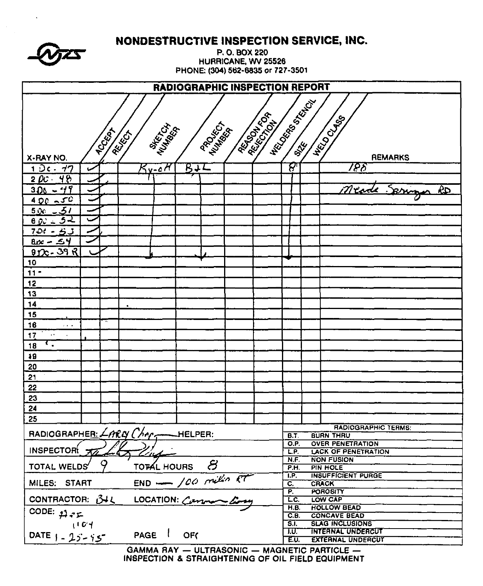| P. O. BOX 220<br>HURRICANE, WV 25526<br>PHONE: (304) 562-6835 or 727-3501<br><b>RADIOGRAPHIC INSPECTION REPORT</b><br>HECLOCATED BACK<br><b>REGISTER</b><br><b>HECO CLASS</b><br><b>PROJECT</b><br><b>MARTIA</b><br>Number<br><b>RCCCCCON</b><br>REIGH<br><b>REMARKS</b><br>X-RAY NO.<br>$\bm{S}^r$<br>788<br><b>B</b> +L<br>1 Dc - 77<br>$5$ y-0 $H$<br>$200 - 48$<br>Meade Serving<br>$300 - 49$<br>ŘР<br>$400 - 50$<br><u>اک ۔ مردة</u><br>$60 - 52$<br>$700 - 6J$<br>$800 - 54$<br>$90c - 39R$<br>10<br>$11 -$<br>12<br>13<br>14<br>15<br>16<br>$\sim 10^{-1}$<br>17<br>٠.<br>18<br>49<br>20<br>21<br>22 |    |  | NONDESTRUCTIVE INSPECTION SERVICE, INC. |  |  |  |  |  |  |  |  |  |
|--------------------------------------------------------------------------------------------------------------------------------------------------------------------------------------------------------------------------------------------------------------------------------------------------------------------------------------------------------------------------------------------------------------------------------------------------------------------------------------------------------------------------------------------------------------------------------------------------------------|----|--|-----------------------------------------|--|--|--|--|--|--|--|--|--|
|                                                                                                                                                                                                                                                                                                                                                                                                                                                                                                                                                                                                              |    |  |                                         |  |  |  |  |  |  |  |  |  |
|                                                                                                                                                                                                                                                                                                                                                                                                                                                                                                                                                                                                              |    |  |                                         |  |  |  |  |  |  |  |  |  |
|                                                                                                                                                                                                                                                                                                                                                                                                                                                                                                                                                                                                              |    |  |                                         |  |  |  |  |  |  |  |  |  |
|                                                                                                                                                                                                                                                                                                                                                                                                                                                                                                                                                                                                              |    |  |                                         |  |  |  |  |  |  |  |  |  |
|                                                                                                                                                                                                                                                                                                                                                                                                                                                                                                                                                                                                              |    |  |                                         |  |  |  |  |  |  |  |  |  |
|                                                                                                                                                                                                                                                                                                                                                                                                                                                                                                                                                                                                              |    |  |                                         |  |  |  |  |  |  |  |  |  |
|                                                                                                                                                                                                                                                                                                                                                                                                                                                                                                                                                                                                              |    |  |                                         |  |  |  |  |  |  |  |  |  |
|                                                                                                                                                                                                                                                                                                                                                                                                                                                                                                                                                                                                              |    |  |                                         |  |  |  |  |  |  |  |  |  |
|                                                                                                                                                                                                                                                                                                                                                                                                                                                                                                                                                                                                              |    |  |                                         |  |  |  |  |  |  |  |  |  |
|                                                                                                                                                                                                                                                                                                                                                                                                                                                                                                                                                                                                              |    |  |                                         |  |  |  |  |  |  |  |  |  |
|                                                                                                                                                                                                                                                                                                                                                                                                                                                                                                                                                                                                              |    |  |                                         |  |  |  |  |  |  |  |  |  |
|                                                                                                                                                                                                                                                                                                                                                                                                                                                                                                                                                                                                              |    |  |                                         |  |  |  |  |  |  |  |  |  |
|                                                                                                                                                                                                                                                                                                                                                                                                                                                                                                                                                                                                              |    |  |                                         |  |  |  |  |  |  |  |  |  |
|                                                                                                                                                                                                                                                                                                                                                                                                                                                                                                                                                                                                              |    |  |                                         |  |  |  |  |  |  |  |  |  |
|                                                                                                                                                                                                                                                                                                                                                                                                                                                                                                                                                                                                              |    |  |                                         |  |  |  |  |  |  |  |  |  |
|                                                                                                                                                                                                                                                                                                                                                                                                                                                                                                                                                                                                              |    |  |                                         |  |  |  |  |  |  |  |  |  |
|                                                                                                                                                                                                                                                                                                                                                                                                                                                                                                                                                                                                              |    |  |                                         |  |  |  |  |  |  |  |  |  |
|                                                                                                                                                                                                                                                                                                                                                                                                                                                                                                                                                                                                              |    |  |                                         |  |  |  |  |  |  |  |  |  |
|                                                                                                                                                                                                                                                                                                                                                                                                                                                                                                                                                                                                              |    |  |                                         |  |  |  |  |  |  |  |  |  |
|                                                                                                                                                                                                                                                                                                                                                                                                                                                                                                                                                                                                              |    |  |                                         |  |  |  |  |  |  |  |  |  |
|                                                                                                                                                                                                                                                                                                                                                                                                                                                                                                                                                                                                              |    |  |                                         |  |  |  |  |  |  |  |  |  |
|                                                                                                                                                                                                                                                                                                                                                                                                                                                                                                                                                                                                              |    |  |                                         |  |  |  |  |  |  |  |  |  |
|                                                                                                                                                                                                                                                                                                                                                                                                                                                                                                                                                                                                              |    |  |                                         |  |  |  |  |  |  |  |  |  |
|                                                                                                                                                                                                                                                                                                                                                                                                                                                                                                                                                                                                              |    |  |                                         |  |  |  |  |  |  |  |  |  |
|                                                                                                                                                                                                                                                                                                                                                                                                                                                                                                                                                                                                              |    |  |                                         |  |  |  |  |  |  |  |  |  |
|                                                                                                                                                                                                                                                                                                                                                                                                                                                                                                                                                                                                              |    |  |                                         |  |  |  |  |  |  |  |  |  |
|                                                                                                                                                                                                                                                                                                                                                                                                                                                                                                                                                                                                              |    |  |                                         |  |  |  |  |  |  |  |  |  |
|                                                                                                                                                                                                                                                                                                                                                                                                                                                                                                                                                                                                              |    |  |                                         |  |  |  |  |  |  |  |  |  |
|                                                                                                                                                                                                                                                                                                                                                                                                                                                                                                                                                                                                              | 23 |  |                                         |  |  |  |  |  |  |  |  |  |
| 24                                                                                                                                                                                                                                                                                                                                                                                                                                                                                                                                                                                                           |    |  |                                         |  |  |  |  |  |  |  |  |  |
| 25                                                                                                                                                                                                                                                                                                                                                                                                                                                                                                                                                                                                           |    |  |                                         |  |  |  |  |  |  |  |  |  |
| <b>RADIOGRAPHIC TERMS:</b><br>$RADIOGRAPHER: \angle ARQ$ $Chr$ <sub>r</sub> $-HELPER$ :                                                                                                                                                                                                                                                                                                                                                                                                                                                                                                                      |    |  |                                         |  |  |  |  |  |  |  |  |  |
| <b>BURN THRU</b><br><b>B.T.</b><br><b>OVER PENETRATION</b><br>O.P.                                                                                                                                                                                                                                                                                                                                                                                                                                                                                                                                           |    |  |                                         |  |  |  |  |  |  |  |  |  |
| <b>INSPECTOR</b><br><b>LACK OF PENETRATION</b><br>LP.<br><u>ind a</u>                                                                                                                                                                                                                                                                                                                                                                                                                                                                                                                                        |    |  |                                         |  |  |  |  |  |  |  |  |  |
| <b>NON FUSION</b><br>N.F.<br>TOTAL HOURS $\beta$<br><b>TOTAL WELDS</b><br>PIN HOLE<br>P.H.                                                                                                                                                                                                                                                                                                                                                                                                                                                                                                                   |    |  |                                         |  |  |  |  |  |  |  |  |  |
| <b>INSUFFICIENT PURGE</b><br>I.P.                                                                                                                                                                                                                                                                                                                                                                                                                                                                                                                                                                            |    |  |                                         |  |  |  |  |  |  |  |  |  |
| $END - 100 million RTLOGATION: Common Long$<br>MILES: START<br>$\overline{\mathbf{C}}$ .<br><b>CRACK</b><br>P.<br><b>POROSITY</b>                                                                                                                                                                                                                                                                                                                                                                                                                                                                            |    |  |                                         |  |  |  |  |  |  |  |  |  |
| CONTRACTOR: 34L<br>LOW CAP<br>LC.                                                                                                                                                                                                                                                                                                                                                                                                                                                                                                                                                                            |    |  |                                         |  |  |  |  |  |  |  |  |  |
| <b>HOLLOW BEAD</b><br>H.B.<br>CODE: $22.72$                                                                                                                                                                                                                                                                                                                                                                                                                                                                                                                                                                  |    |  |                                         |  |  |  |  |  |  |  |  |  |
| <b>CONCAVE BEAD</b><br>C.E.<br>3J<br><b>SLAG INCLUSIONS</b><br>1104                                                                                                                                                                                                                                                                                                                                                                                                                                                                                                                                          |    |  |                                         |  |  |  |  |  |  |  |  |  |
| <b>INTERNAL UNDERCUT</b><br>T.U.<br>PAGE  <br>OF(<br>DATE $1 - 25 - 95$                                                                                                                                                                                                                                                                                                                                                                                                                                                                                                                                      |    |  |                                         |  |  |  |  |  |  |  |  |  |
| <b>EXTERNAL UNDERCUT</b><br>E.U.<br>GAMMA RAY - ULTRASONIC - MAGNETIC PARTICLE -                                                                                                                                                                                                                                                                                                                                                                                                                                                                                                                             |    |  |                                         |  |  |  |  |  |  |  |  |  |

 $\bar{\mathbf{v}}$ 

 $\mathcal{A}^{\mathcal{A}}$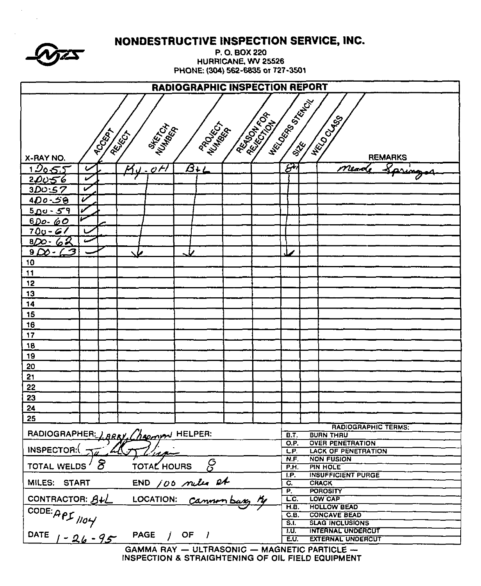|                                       |                        | NONDESTRUCTIVE INSPECTION SERVICE, INC. |                  |                                                    |                             |                                                 |  |  |  |  |  |
|---------------------------------------|------------------------|-----------------------------------------|------------------|----------------------------------------------------|-----------------------------|-------------------------------------------------|--|--|--|--|--|
|                                       |                        |                                         |                  | P.O. BOX 220                                       |                             |                                                 |  |  |  |  |  |
|                                       |                        |                                         |                  | HURRICANE, WV 25526                                |                             |                                                 |  |  |  |  |  |
|                                       |                        |                                         |                  | PHONE: (304) 562-6835 or 727-3501                  |                             |                                                 |  |  |  |  |  |
| <b>RADIOGRAPHIC INSPECTION REPORT</b> |                        |                                         |                  |                                                    |                             |                                                 |  |  |  |  |  |
|                                       | <b>Hicocomposition</b> |                                         |                  |                                                    |                             |                                                 |  |  |  |  |  |
| <b>RESILIAN</b>                       |                        |                                         |                  |                                                    |                             |                                                 |  |  |  |  |  |
|                                       |                        |                                         |                  |                                                    |                             |                                                 |  |  |  |  |  |
|                                       | <b>POCKAT</b>          | Nurfactor<br>REIGH                      | PROCESS          |                                                    |                             | <b>HELOCUS</b>                                  |  |  |  |  |  |
|                                       |                        |                                         |                  |                                                    |                             |                                                 |  |  |  |  |  |
| X-RAY NO.                             |                        |                                         |                  |                                                    |                             | <b>REMARKS</b>                                  |  |  |  |  |  |
| <u> 120 రో</u>                        |                        | $\mathcal{O}$ $\mathcal{H}$             | $B+L$            |                                                    | $\mathcal{S}^{\mathcal{V}}$ | Paring<br>Meod                                  |  |  |  |  |  |
| <u>20υ56</u>                          | مما                    |                                         |                  |                                                    |                             |                                                 |  |  |  |  |  |
| 3DO:57                                | V<br>V                 |                                         |                  |                                                    |                             |                                                 |  |  |  |  |  |
| <u>400-50</u>                         |                        |                                         |                  |                                                    |                             |                                                 |  |  |  |  |  |
| 500-59                                |                        |                                         |                  |                                                    |                             |                                                 |  |  |  |  |  |
| <u> 6Do- 60</u><br>$700 - 61$         |                        |                                         |                  |                                                    |                             |                                                 |  |  |  |  |  |
| <u>820-62</u>                         |                        |                                         |                  |                                                    |                             |                                                 |  |  |  |  |  |
| $\sim$ 3<br>$9\Delta$                 |                        |                                         |                  |                                                    |                             |                                                 |  |  |  |  |  |
| 10                                    |                        |                                         |                  |                                                    |                             |                                                 |  |  |  |  |  |
| 11                                    |                        |                                         |                  |                                                    |                             |                                                 |  |  |  |  |  |
| 12                                    |                        |                                         |                  |                                                    |                             |                                                 |  |  |  |  |  |
| 13                                    |                        |                                         |                  |                                                    |                             |                                                 |  |  |  |  |  |
| 14                                    |                        |                                         |                  |                                                    |                             |                                                 |  |  |  |  |  |
| 15                                    |                        |                                         |                  |                                                    |                             |                                                 |  |  |  |  |  |
| 16                                    |                        |                                         |                  |                                                    |                             |                                                 |  |  |  |  |  |
| 17                                    |                        |                                         |                  |                                                    |                             |                                                 |  |  |  |  |  |
| 18                                    |                        |                                         |                  |                                                    |                             |                                                 |  |  |  |  |  |
| 19                                    |                        |                                         |                  |                                                    |                             |                                                 |  |  |  |  |  |
| 20                                    |                        |                                         |                  |                                                    |                             |                                                 |  |  |  |  |  |
| 21                                    |                        |                                         |                  |                                                    |                             |                                                 |  |  |  |  |  |
| 22                                    |                        |                                         |                  |                                                    |                             |                                                 |  |  |  |  |  |
| 23                                    |                        |                                         |                  |                                                    |                             |                                                 |  |  |  |  |  |
| 24                                    |                        |                                         |                  |                                                    |                             |                                                 |  |  |  |  |  |
| 25                                    |                        |                                         |                  |                                                    |                             | RADIOGRAPHIC TERMS:                             |  |  |  |  |  |
|                                       |                        | RADIOGRAPHER: LARRY, Chapman HELPER:    |                  |                                                    | B.T.                        | <b>BURN THRU</b>                                |  |  |  |  |  |
|                                       |                        |                                         |                  |                                                    | O.P.                        | <b>OVER PENETRATION</b>                         |  |  |  |  |  |
| <b>INSPECTOR:</b>                     |                        |                                         |                  |                                                    | LP.<br>N.F.                 | <b>LACK OF PENETRATION</b><br><b>NON FUSION</b> |  |  |  |  |  |
| TOTAL WELDS                           | 8                      | TOTAL HOURS                             | င္ပ              |                                                    | P.H.                        | PIN HOLE                                        |  |  |  |  |  |
|                                       |                        |                                         |                  |                                                    | IP.                         | <b>INSUFFICIENT PURGE</b>                       |  |  |  |  |  |
| MILES: START                          |                        |                                         | END 100 miles et |                                                    | $\overline{C_{i}}$<br>P.    | <b>CRACK</b><br><b>POROSITY</b>                 |  |  |  |  |  |
| CONTRACTOR: $B + L$                   |                        |                                         |                  |                                                    | L.C.                        | LOW CAP                                         |  |  |  |  |  |
|                                       |                        |                                         |                  |                                                    | H.B.                        | <b>HOLLOW BEAD</b>                              |  |  |  |  |  |
|                                       |                        |                                         |                  |                                                    | C.B.<br>S.L                 | <b>CONCAVE BEAD</b><br><b>SLAG INCLUSIONS</b>   |  |  |  |  |  |
|                                       |                        | <b>PAGE</b>                             | $/$ OF $/$       |                                                    | TU.                         | <b>INTERNAL UNDERCUT</b>                        |  |  |  |  |  |
| CODE: APS 1104                        |                        |                                         |                  |                                                    | EU.                         | <b>EXTERNAL UNDERCUT</b>                        |  |  |  |  |  |
|                                       |                        |                                         |                  | GAMMA RAY $-$ ULTRASONIC $-$ MAGNETIC PARTICLE $-$ |                             |                                                 |  |  |  |  |  |

 $\sim$ 

GAMMA RAY - ULTRASONIC - MAGNETIC PARTICLE --<br>INSPECTION & STRAIGHTENING OF OIL FIELD EQUIPMENT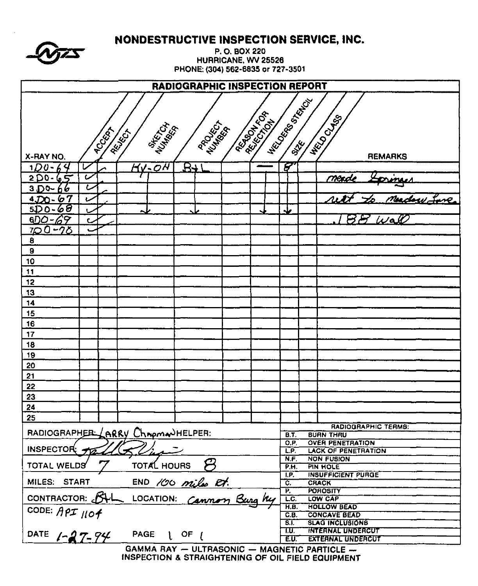|                          |    | <b>NONDESTRUCTIVE INSPECTION SERVICE, INC.</b> |                      |                                                          |                          |                                                       |  |
|--------------------------|----|------------------------------------------------|----------------------|----------------------------------------------------------|--------------------------|-------------------------------------------------------|--|
|                          |    |                                                |                      | P.O. BOX 220                                             |                          |                                                       |  |
|                          |    |                                                |                      | HURRICANE, WV 25526<br>PHONE: (304) 562-6835 or 727-3501 |                          |                                                       |  |
|                          |    |                                                |                      |                                                          |                          |                                                       |  |
|                          |    |                                                |                      | RADIOGRAPHIC INSPECTION REPORT                           |                          |                                                       |  |
|                          |    |                                                |                      |                                                          | <b>HECONOMICS</b>        |                                                       |  |
|                          |    |                                                |                      |                                                          |                          |                                                       |  |
|                          |    |                                                |                      |                                                          |                          |                                                       |  |
|                          |    | RELIGIT                                        |                      |                                                          |                          |                                                       |  |
| X-RAY NO.                |    | <b>MARTING</b>                                 | PROCESS T            | <b>Assistant Report</b>                                  |                          | <b>H</b> ECO CLASS<br><b>REMARKS</b>                  |  |
| 100-64                   | را | <b>MV-04</b>                                   | $B + I$              |                                                          | F                        |                                                       |  |
| $2D0 - 65$               | ı  |                                                |                      |                                                          |                          | mendi                                                 |  |
| 3D0-<br>66               | L  |                                                |                      |                                                          |                          |                                                       |  |
| $4,00 - 67$              | Ł  |                                                |                      |                                                          |                          |                                                       |  |
| <u>5D0-60</u>            |    | ∼                                              |                      |                                                          | ملہ                      |                                                       |  |
| $600 - 69$<br>$700 - 70$ |    |                                                |                      |                                                          |                          | ونغر كرسخ                                             |  |
| 8                        |    |                                                |                      |                                                          |                          |                                                       |  |
| $\pmb{9}$                |    |                                                |                      |                                                          |                          |                                                       |  |
| 10                       |    |                                                |                      |                                                          |                          |                                                       |  |
| 11                       |    |                                                |                      |                                                          |                          |                                                       |  |
| 12                       |    |                                                |                      |                                                          |                          |                                                       |  |
| 13                       |    |                                                |                      |                                                          |                          |                                                       |  |
| 14                       |    |                                                |                      |                                                          |                          |                                                       |  |
| 15<br>16                 |    |                                                |                      |                                                          |                          |                                                       |  |
| 17                       |    |                                                |                      |                                                          |                          |                                                       |  |
| 18                       |    |                                                |                      |                                                          |                          |                                                       |  |
| 19                       |    |                                                |                      |                                                          |                          |                                                       |  |
| 20                       |    |                                                |                      |                                                          |                          |                                                       |  |
| 21                       |    |                                                |                      |                                                          |                          |                                                       |  |
| 22                       |    |                                                |                      |                                                          |                          |                                                       |  |
| 23                       |    |                                                |                      |                                                          |                          |                                                       |  |
| 24                       |    |                                                |                      |                                                          |                          |                                                       |  |
| 25                       |    |                                                |                      |                                                          |                          | <b>RADIOGRAPHIC TERMS:</b>                            |  |
|                          |    | RADIOGRAPHER (ARRY Chroma)HELPER:              |                      |                                                          | <b>B.T.</b>              | <b>BURN THRU</b>                                      |  |
| INSPECTOR:               |    |                                                |                      |                                                          | O.P.<br>L.P.             | <b>OVER PENETRATION</b><br><b>LACK OF PENETRATION</b> |  |
|                          |    |                                                |                      |                                                          | N.F.                     | <b>NON FUSION</b>                                     |  |
| <b>TOTAL WELDS</b>       |    | <b>TOTAL HOURS</b>                             | $\boldsymbol{\beta}$ |                                                          | P.H.                     | PIN HOLE                                              |  |
| MILES: START             |    |                                                |                      |                                                          | I.P.<br>$\overline{c}$ . | <b>INSUFFICIENT PURGE</b><br><b>CRACK</b>             |  |
| CONTRACTOR: BUL          |    |                                                |                      | END 100 miles Et.<br>LOCATION: Cannon Burg Ky            | P,                       | <b>POROSITY</b>                                       |  |
|                          |    |                                                |                      |                                                          | LC.<br>H.B.              | LOW CAP<br><b>HOLLOW BEAD</b>                         |  |
| CODE: API 1104           |    |                                                |                      |                                                          | С.В.                     | <b>CONCAVE BEAD</b>                                   |  |
|                          |    |                                                |                      |                                                          | <b>S.T.</b><br>T.U.      | <b>SLAG INCLUSIONS</b><br><b>INTERNAL UNDERCUT</b>    |  |
| DATE $1 - 27 - 74$       |    | <b>PAGE</b>                                    | $1$ OF $1$           |                                                          | EU.                      | <b>EXTERNAL UNDERCUT</b>                              |  |
|                          |    |                                                |                      | GAMMA DAV  III TOAGONIC  MAGNETIC DAOTICLE               |                          |                                                       |  |

GAMMA RAY - ULTRASONIC - MAGNETIC PARTICLE -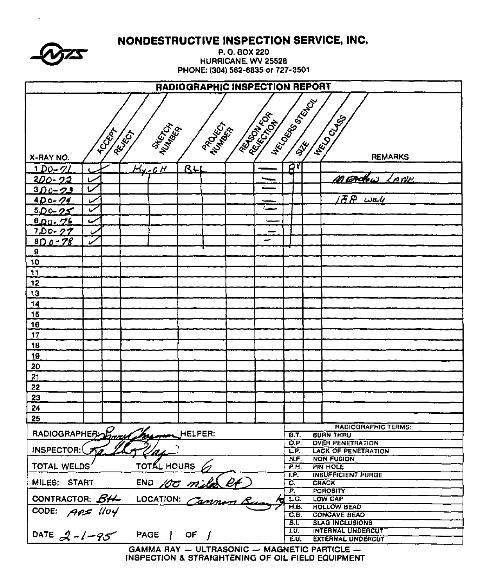|                    | <b>NONDESTRUCTIVE INSPECTION SERVICE, INC.</b><br>P.O. BOX 220<br>HURRICANE, WV 25526<br>PHONE: (304) 562-6835 or 727-3501 |                                   |           |             |                                           |                                 |                                                                               |  |  |  |  |  |
|--------------------|----------------------------------------------------------------------------------------------------------------------------|-----------------------------------|-----------|-------------|-------------------------------------------|---------------------------------|-------------------------------------------------------------------------------|--|--|--|--|--|
|                    | <b>RADIOGRAPHIC INSPECTION REPORT</b>                                                                                      |                                   |           |             |                                           |                                 |                                                                               |  |  |  |  |  |
|                    | <b>WECCONSTRUCTED</b><br><b>REGISTERED</b><br><b>HELD CLASS</b><br>PROCESS T<br><b>SHERICA</b>                             |                                   |           |             |                                           |                                 |                                                                               |  |  |  |  |  |
|                    | <b>PCCESS</b>                                                                                                              | REIGH                             |           |             |                                           |                                 |                                                                               |  |  |  |  |  |
| X-RAY NO.          |                                                                                                                            |                                   |           |             |                                           |                                 | <b>REMARKS</b>                                                                |  |  |  |  |  |
| <u>1 Du-71</u>     |                                                                                                                            | <u>Hy-011</u>                     | <b>BH</b> |             |                                           | ਕਾ                              |                                                                               |  |  |  |  |  |
| 200-22             | سا                                                                                                                         |                                   |           |             | ∽                                         |                                 | MERCHU LANE                                                                   |  |  |  |  |  |
| $300 - 23$         | $\overline{\mathbf{v}}$                                                                                                    |                                   |           |             |                                           |                                 |                                                                               |  |  |  |  |  |
| $4D0 - 74$         |                                                                                                                            |                                   |           |             |                                           |                                 | $B\otimes \omega$ ak                                                          |  |  |  |  |  |
| $500 - 25$         | مما                                                                                                                        |                                   |           |             | $\equiv$                                  |                                 |                                                                               |  |  |  |  |  |
| $600 - 76$         |                                                                                                                            |                                   |           |             |                                           |                                 |                                                                               |  |  |  |  |  |
| $7.00 - 27$        | Ь                                                                                                                          |                                   |           |             | œ                                         |                                 |                                                                               |  |  |  |  |  |
| $800 - 78$         | ب                                                                                                                          |                                   |           |             |                                           |                                 |                                                                               |  |  |  |  |  |
| 9                  |                                                                                                                            |                                   |           |             |                                           |                                 |                                                                               |  |  |  |  |  |
| 10                 |                                                                                                                            |                                   |           |             |                                           |                                 |                                                                               |  |  |  |  |  |
| 11                 |                                                                                                                            |                                   |           |             |                                           |                                 |                                                                               |  |  |  |  |  |
| 12                 |                                                                                                                            |                                   |           |             |                                           |                                 |                                                                               |  |  |  |  |  |
| 13                 |                                                                                                                            |                                   |           |             |                                           |                                 |                                                                               |  |  |  |  |  |
| 14                 |                                                                                                                            |                                   |           |             |                                           |                                 |                                                                               |  |  |  |  |  |
| 15                 |                                                                                                                            |                                   |           |             |                                           |                                 |                                                                               |  |  |  |  |  |
| 16                 |                                                                                                                            |                                   |           |             |                                           |                                 |                                                                               |  |  |  |  |  |
| 17                 |                                                                                                                            |                                   |           |             |                                           |                                 |                                                                               |  |  |  |  |  |
| 18                 |                                                                                                                            |                                   |           |             |                                           |                                 |                                                                               |  |  |  |  |  |
|                    |                                                                                                                            |                                   |           |             |                                           |                                 |                                                                               |  |  |  |  |  |
| 19                 |                                                                                                                            |                                   |           |             |                                           |                                 |                                                                               |  |  |  |  |  |
| 20                 |                                                                                                                            |                                   |           |             |                                           |                                 |                                                                               |  |  |  |  |  |
| 21                 |                                                                                                                            |                                   |           |             |                                           |                                 |                                                                               |  |  |  |  |  |
| 22                 |                                                                                                                            |                                   |           |             |                                           |                                 |                                                                               |  |  |  |  |  |
| <u>23</u>          |                                                                                                                            |                                   |           |             |                                           |                                 |                                                                               |  |  |  |  |  |
| 24                 |                                                                                                                            |                                   |           |             |                                           |                                 |                                                                               |  |  |  |  |  |
| 25                 |                                                                                                                            |                                   |           |             |                                           |                                 |                                                                               |  |  |  |  |  |
|                    |                                                                                                                            | RADIOGRAPHER David Myseum HELPER: |           |             |                                           | $\overline{B.T.}$               | RADIOGRAPHIC TERMS:<br><b>BURN THRU</b>                                       |  |  |  |  |  |
|                    |                                                                                                                            |                                   |           |             |                                           | O.P.                            | <b>OVER PENETRATION</b>                                                       |  |  |  |  |  |
| INSPECTOR:         |                                                                                                                            |                                   |           |             |                                           | LP.                             | <b>LACK OF PENETRATION</b>                                                    |  |  |  |  |  |
| <b>TOTAL WELDS</b> |                                                                                                                            | <b>TOTAL HOURS</b>                |           |             |                                           | N.F.<br>P.H.                    | <b>NON FUSION</b><br>PIN HOLE                                                 |  |  |  |  |  |
|                    |                                                                                                                            |                                   |           |             |                                           | $\overline{1}$ . $\overline{P}$ | <b>INSUFFICIENT PURGE</b>                                                     |  |  |  |  |  |
|                    |                                                                                                                            |                                   |           |             |                                           | ত.                              | <b>CRACK</b>                                                                  |  |  |  |  |  |
|                    |                                                                                                                            | MILES: START END 100 mile RA      |           |             |                                           | P.                              | <b>POROSITY</b>                                                               |  |  |  |  |  |
|                    |                                                                                                                            |                                   |           | LC.<br>H.B. | <b>LOW CAP</b>                            |                                 |                                                                               |  |  |  |  |  |
| CODE: APS 1104     |                                                                                                                            |                                   |           | C.6.        | <b>HOLLOW BEAD</b><br><b>CONCAVE BEAD</b> |                                 |                                                                               |  |  |  |  |  |
|                    |                                                                                                                            |                                   |           | 3.1         | <b>SLAG INCLUSIONS</b>                    |                                 |                                                                               |  |  |  |  |  |
| DATE $2-l-95$      |                                                                                                                            | PAGE   OF /                       |           |             |                                           | T.U.                            | <b>INTERNAL UNDERCUT</b>                                                      |  |  |  |  |  |
|                    |                                                                                                                            |                                   |           |             |                                           | E.U.                            | <b>EXTERNAL UNDERCUT</b><br>GAMMA RAY $=$ III TRASONIC $=$ MAGNETIC PARTICLE. |  |  |  |  |  |

------

*CALLA* 

GAMMA RAY — ULTRASONIC — MAGNETIC PARTICLE —<br>INSPECTION & STRAIGHTENING OF OIL FIELD EQUIPMENT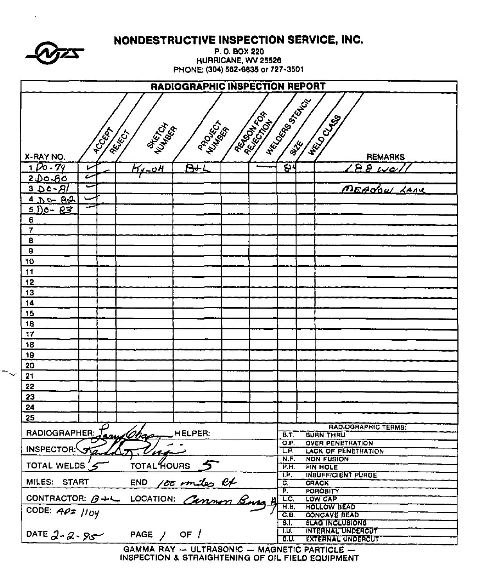|                               |                |                                                                        |                                   |                         | NONDESTRUCTIVE INSPECTION SERVICE, INC. |                                                      |  |  |  |  |
|-------------------------------|----------------|------------------------------------------------------------------------|-----------------------------------|-------------------------|-----------------------------------------|------------------------------------------------------|--|--|--|--|
|                               |                |                                                                        |                                   | P.O. BOX 220            |                                         |                                                      |  |  |  |  |
|                               |                |                                                                        | PHONE: (304) 562-6835 or 727-3501 | HURRICANE, WV 25526     |                                         |                                                      |  |  |  |  |
|                               |                |                                                                        |                                   |                         |                                         |                                                      |  |  |  |  |
|                               |                |                                                                        | RADIOGRAPHIC INSPECTION REPORT    |                         |                                         |                                                      |  |  |  |  |
|                               |                |                                                                        |                                   |                         | HECOOR BOOM                             |                                                      |  |  |  |  |
|                               |                |                                                                        |                                   | <b>REATIVE</b>          |                                         |                                                      |  |  |  |  |
|                               |                | <b>MARTIN</b>                                                          | PROCESS                           |                         |                                         | <b>HELD CLABS</b>                                    |  |  |  |  |
|                               | <b>RCCCCCC</b> | REFERE                                                                 |                                   |                         |                                         |                                                      |  |  |  |  |
|                               |                |                                                                        |                                   |                         |                                         |                                                      |  |  |  |  |
| X-RAY NO.                     |                |                                                                        |                                   |                         |                                         | <b>REMARKS</b>                                       |  |  |  |  |
| $100 - 79$                    | L<br>ı         | <u> Hv-oH</u>                                                          | $B+1$                             |                         | 64                                      | $98\,\mu$                                            |  |  |  |  |
| <u>2 Do Bò</u><br>$3.00 - B1$ | پ              |                                                                        |                                   |                         |                                         | MEADOW LANE                                          |  |  |  |  |
| $4D - 82$                     |                |                                                                        |                                   |                         |                                         |                                                      |  |  |  |  |
| $500 - 83$                    | ⋍              |                                                                        |                                   |                         |                                         |                                                      |  |  |  |  |
| 6                             |                |                                                                        |                                   |                         |                                         |                                                      |  |  |  |  |
| 7                             |                |                                                                        |                                   |                         |                                         |                                                      |  |  |  |  |
| 8                             |                |                                                                        |                                   |                         |                                         |                                                      |  |  |  |  |
| 9                             |                |                                                                        |                                   |                         |                                         |                                                      |  |  |  |  |
| 10                            |                |                                                                        |                                   |                         |                                         |                                                      |  |  |  |  |
| 11                            |                |                                                                        |                                   |                         |                                         |                                                      |  |  |  |  |
| 12                            |                |                                                                        |                                   |                         |                                         |                                                      |  |  |  |  |
| 13                            |                |                                                                        |                                   |                         |                                         |                                                      |  |  |  |  |
| 14<br>15                      |                |                                                                        |                                   |                         |                                         |                                                      |  |  |  |  |
| 16                            |                |                                                                        |                                   |                         |                                         |                                                      |  |  |  |  |
| 17                            |                |                                                                        |                                   |                         |                                         |                                                      |  |  |  |  |
| 18                            |                |                                                                        |                                   |                         |                                         |                                                      |  |  |  |  |
| 19                            |                |                                                                        |                                   |                         |                                         |                                                      |  |  |  |  |
| 20                            |                |                                                                        |                                   |                         |                                         |                                                      |  |  |  |  |
| 21                            |                |                                                                        |                                   |                         |                                         |                                                      |  |  |  |  |
| 22                            |                |                                                                        |                                   |                         |                                         |                                                      |  |  |  |  |
| 23                            |                |                                                                        |                                   |                         |                                         |                                                      |  |  |  |  |
| 24                            |                |                                                                        |                                   |                         |                                         |                                                      |  |  |  |  |
| 25                            |                |                                                                        |                                   |                         |                                         |                                                      |  |  |  |  |
| RADIOGRAPHER:                 |                | term Chas                                                              | HELPER:                           |                         | <b>B.T.</b>                             | RADIOGRAPHIC TERMS:<br><b>BURN THRU</b>              |  |  |  |  |
| INSPECTOR: JAZ                |                |                                                                        | O.P.                              | <b>OVER PENETRATION</b> |                                         |                                                      |  |  |  |  |
|                               |                | 'A-1                                                                   |                                   |                         | L.P.<br>N.F.                            | <b>LACK OF PENETRATION</b><br><b>NON FUBION</b>      |  |  |  |  |
| TOTAL WELDS 5                 |                | TOTAL HOURS                                                            |                                   |                         | P.H.                                    | <b>PIN HOLE</b>                                      |  |  |  |  |
|                               |                |                                                                        |                                   |                         | T.P.<br>C.                              | <b>INSUFFICIENT PURGE</b><br><b>CRACK</b>            |  |  |  |  |
|                               |                | MILES: START END 100 miles RX<br>CONTRACTOR: B+L LOCATION: Cennon Busy |                                   |                         | P.                                      | <b>POROBITY</b>                                      |  |  |  |  |
|                               |                |                                                                        |                                   |                         | LC.<br>H.B.                             | LOW CAP<br><b>HOLLOW BEAD</b>                        |  |  |  |  |
| CODE: $A\rho x$ // $Uy$       |                |                                                                        |                                   |                         | C.B.                                    | <b>CONCAVE BEAD</b>                                  |  |  |  |  |
|                               |                |                                                                        |                                   |                         | 3.1                                     | <b>BLAG INCLUSIONS</b>                               |  |  |  |  |
|                               |                | DATE $2 - 2 - 9 - 2 = 1$ PAGE / OF /                                   |                                   |                         | דטד<br>E.U.                             | <b>INTERNAL UNDERCUT</b><br><b>EXTERNAL UNDERCUT</b> |  |  |  |  |
|                               |                | CAMILA DAV                                                             | <b>ILL TO ACONIC</b>              |                         |                                         | MAMMETIC BADTINES                                    |  |  |  |  |

 $\bar{\mathbf{r}}$ 

GAMMA RAY - ULTRASONIC - MAGNETIC PARTICLE -<br>INSPECTION & STRAIGHTENING OF OIL FIELD EQUIPMENT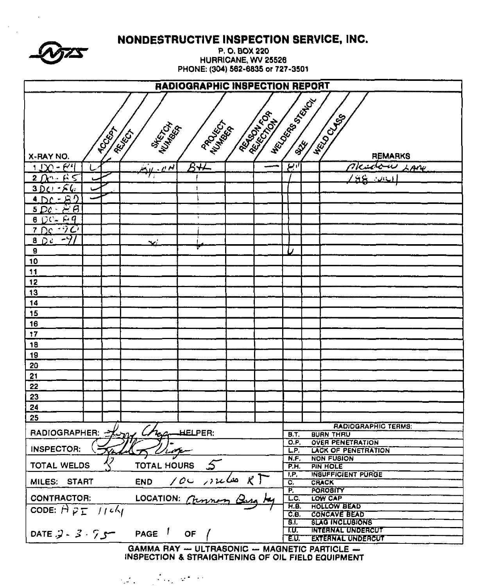| P.O. BOX 220<br>HURRICANE, WV 25526<br>PHONE: (304) 562-6835 or 727-3501<br><b>RADIOGRAPHIC INSPECTION REPORT</b><br><b>CERTIFICATION</b><br><b>HELD CLAB</b><br>PROTECTIVE<br><b>MARTIN</b><br><b>ROCKAT</b><br>REIGH<br><b>REMARKS</b><br>X-RAY NO.<br>$8 + 1$<br>$7$ circu<br>$1.00 - 64$<br>ا ا بستع<br><u>يىن مىرى</u><br>LANK<br>$2 \pi + 65$<br>ءَ ت<br>$3DQ - 6Q$<br>$4DC - B$<br>$5Dc - E\theta$<br>$60C - Eq$<br>1<br>$\neg$ $\partial$<br>$7$ De<br>-71<br>$B$ $D$ $c$<br>نيد<br>$\boldsymbol{9}$<br>,<br>10<br>11<br>12<br>13<br>14<br>15<br>16<br>17<br>18<br>19<br>20<br>21<br>22<br>23<br>24<br>25<br><b>RADIOGRAPHIC TERMS:</b><br>RADIOGRAPHER: Xim L<br><b>LELPER:</b><br><b>BUAN THRU</b><br><b>B.T.</b><br>$\overline{O.P.}$<br><b>OVER PENETRATION</b><br><b>INSPECTOR:</b><br>L.P.<br><b>LACK OF PENETRATION</b><br><u>'Lot</u> e<br>N.F.<br><b>NON FUSION</b><br>TOTAL HOURS<br><b>TOTAL WELDS</b><br><b>P.H.</b><br><b>PIN HOLE</b><br><b>INSUFFICIENT PURGE</b><br>I.P.<br>$100$ sules RT<br><b>END</b><br>MILES: START<br>C.<br><b>CRACK</b><br>F,<br><b>POROBITY</b><br><b>CONTRACTOR:</b><br>LOCATION: Chin<br>LC.<br>LOW CAP<br><b>HOLLOW BEAD</b><br>H.B.<br>CODE: $A \rho_{\overline{L}}$ //c/<br>C.E.<br><b>CONCAVE BEAD</b><br>8.I.<br><b>BLAG INCLUBIONS</b><br>INTERNAL UNDERCUT<br>T.U.<br>PAGE <sup>1</sup><br>DATE $3\cdot 7$<br>OF<br>E.U.<br><b>EXTERNAL UNDERCUT</b><br>GAMMA RAY - ULTRASONIC - MAGNETIC PARTICLE - | NONDESTRUCTIVE INSPECTION SERVICE, INC. |  |  |  |  |  |  |  |  |  |  |
|---------------------------------------------------------------------------------------------------------------------------------------------------------------------------------------------------------------------------------------------------------------------------------------------------------------------------------------------------------------------------------------------------------------------------------------------------------------------------------------------------------------------------------------------------------------------------------------------------------------------------------------------------------------------------------------------------------------------------------------------------------------------------------------------------------------------------------------------------------------------------------------------------------------------------------------------------------------------------------------------------------------------------------------------------------------------------------------------------------------------------------------------------------------------------------------------------------------------------------------------------------------------------------------------------------------------------------------------------------------------------------------------------------------------------------------------------------------|-----------------------------------------|--|--|--|--|--|--|--|--|--|--|
|                                                                                                                                                                                                                                                                                                                                                                                                                                                                                                                                                                                                                                                                                                                                                                                                                                                                                                                                                                                                                                                                                                                                                                                                                                                                                                                                                                                                                                                               |                                         |  |  |  |  |  |  |  |  |  |  |
|                                                                                                                                                                                                                                                                                                                                                                                                                                                                                                                                                                                                                                                                                                                                                                                                                                                                                                                                                                                                                                                                                                                                                                                                                                                                                                                                                                                                                                                               |                                         |  |  |  |  |  |  |  |  |  |  |
|                                                                                                                                                                                                                                                                                                                                                                                                                                                                                                                                                                                                                                                                                                                                                                                                                                                                                                                                                                                                                                                                                                                                                                                                                                                                                                                                                                                                                                                               |                                         |  |  |  |  |  |  |  |  |  |  |
|                                                                                                                                                                                                                                                                                                                                                                                                                                                                                                                                                                                                                                                                                                                                                                                                                                                                                                                                                                                                                                                                                                                                                                                                                                                                                                                                                                                                                                                               |                                         |  |  |  |  |  |  |  |  |  |  |
|                                                                                                                                                                                                                                                                                                                                                                                                                                                                                                                                                                                                                                                                                                                                                                                                                                                                                                                                                                                                                                                                                                                                                                                                                                                                                                                                                                                                                                                               |                                         |  |  |  |  |  |  |  |  |  |  |
|                                                                                                                                                                                                                                                                                                                                                                                                                                                                                                                                                                                                                                                                                                                                                                                                                                                                                                                                                                                                                                                                                                                                                                                                                                                                                                                                                                                                                                                               |                                         |  |  |  |  |  |  |  |  |  |  |
|                                                                                                                                                                                                                                                                                                                                                                                                                                                                                                                                                                                                                                                                                                                                                                                                                                                                                                                                                                                                                                                                                                                                                                                                                                                                                                                                                                                                                                                               |                                         |  |  |  |  |  |  |  |  |  |  |
|                                                                                                                                                                                                                                                                                                                                                                                                                                                                                                                                                                                                                                                                                                                                                                                                                                                                                                                                                                                                                                                                                                                                                                                                                                                                                                                                                                                                                                                               |                                         |  |  |  |  |  |  |  |  |  |  |
|                                                                                                                                                                                                                                                                                                                                                                                                                                                                                                                                                                                                                                                                                                                                                                                                                                                                                                                                                                                                                                                                                                                                                                                                                                                                                                                                                                                                                                                               |                                         |  |  |  |  |  |  |  |  |  |  |
|                                                                                                                                                                                                                                                                                                                                                                                                                                                                                                                                                                                                                                                                                                                                                                                                                                                                                                                                                                                                                                                                                                                                                                                                                                                                                                                                                                                                                                                               |                                         |  |  |  |  |  |  |  |  |  |  |
|                                                                                                                                                                                                                                                                                                                                                                                                                                                                                                                                                                                                                                                                                                                                                                                                                                                                                                                                                                                                                                                                                                                                                                                                                                                                                                                                                                                                                                                               |                                         |  |  |  |  |  |  |  |  |  |  |
|                                                                                                                                                                                                                                                                                                                                                                                                                                                                                                                                                                                                                                                                                                                                                                                                                                                                                                                                                                                                                                                                                                                                                                                                                                                                                                                                                                                                                                                               |                                         |  |  |  |  |  |  |  |  |  |  |
|                                                                                                                                                                                                                                                                                                                                                                                                                                                                                                                                                                                                                                                                                                                                                                                                                                                                                                                                                                                                                                                                                                                                                                                                                                                                                                                                                                                                                                                               |                                         |  |  |  |  |  |  |  |  |  |  |
|                                                                                                                                                                                                                                                                                                                                                                                                                                                                                                                                                                                                                                                                                                                                                                                                                                                                                                                                                                                                                                                                                                                                                                                                                                                                                                                                                                                                                                                               |                                         |  |  |  |  |  |  |  |  |  |  |
|                                                                                                                                                                                                                                                                                                                                                                                                                                                                                                                                                                                                                                                                                                                                                                                                                                                                                                                                                                                                                                                                                                                                                                                                                                                                                                                                                                                                                                                               |                                         |  |  |  |  |  |  |  |  |  |  |
|                                                                                                                                                                                                                                                                                                                                                                                                                                                                                                                                                                                                                                                                                                                                                                                                                                                                                                                                                                                                                                                                                                                                                                                                                                                                                                                                                                                                                                                               |                                         |  |  |  |  |  |  |  |  |  |  |
|                                                                                                                                                                                                                                                                                                                                                                                                                                                                                                                                                                                                                                                                                                                                                                                                                                                                                                                                                                                                                                                                                                                                                                                                                                                                                                                                                                                                                                                               |                                         |  |  |  |  |  |  |  |  |  |  |
|                                                                                                                                                                                                                                                                                                                                                                                                                                                                                                                                                                                                                                                                                                                                                                                                                                                                                                                                                                                                                                                                                                                                                                                                                                                                                                                                                                                                                                                               |                                         |  |  |  |  |  |  |  |  |  |  |
|                                                                                                                                                                                                                                                                                                                                                                                                                                                                                                                                                                                                                                                                                                                                                                                                                                                                                                                                                                                                                                                                                                                                                                                                                                                                                                                                                                                                                                                               |                                         |  |  |  |  |  |  |  |  |  |  |
|                                                                                                                                                                                                                                                                                                                                                                                                                                                                                                                                                                                                                                                                                                                                                                                                                                                                                                                                                                                                                                                                                                                                                                                                                                                                                                                                                                                                                                                               |                                         |  |  |  |  |  |  |  |  |  |  |
|                                                                                                                                                                                                                                                                                                                                                                                                                                                                                                                                                                                                                                                                                                                                                                                                                                                                                                                                                                                                                                                                                                                                                                                                                                                                                                                                                                                                                                                               |                                         |  |  |  |  |  |  |  |  |  |  |
|                                                                                                                                                                                                                                                                                                                                                                                                                                                                                                                                                                                                                                                                                                                                                                                                                                                                                                                                                                                                                                                                                                                                                                                                                                                                                                                                                                                                                                                               |                                         |  |  |  |  |  |  |  |  |  |  |
|                                                                                                                                                                                                                                                                                                                                                                                                                                                                                                                                                                                                                                                                                                                                                                                                                                                                                                                                                                                                                                                                                                                                                                                                                                                                                                                                                                                                                                                               |                                         |  |  |  |  |  |  |  |  |  |  |
|                                                                                                                                                                                                                                                                                                                                                                                                                                                                                                                                                                                                                                                                                                                                                                                                                                                                                                                                                                                                                                                                                                                                                                                                                                                                                                                                                                                                                                                               |                                         |  |  |  |  |  |  |  |  |  |  |
|                                                                                                                                                                                                                                                                                                                                                                                                                                                                                                                                                                                                                                                                                                                                                                                                                                                                                                                                                                                                                                                                                                                                                                                                                                                                                                                                                                                                                                                               |                                         |  |  |  |  |  |  |  |  |  |  |
|                                                                                                                                                                                                                                                                                                                                                                                                                                                                                                                                                                                                                                                                                                                                                                                                                                                                                                                                                                                                                                                                                                                                                                                                                                                                                                                                                                                                                                                               |                                         |  |  |  |  |  |  |  |  |  |  |
|                                                                                                                                                                                                                                                                                                                                                                                                                                                                                                                                                                                                                                                                                                                                                                                                                                                                                                                                                                                                                                                                                                                                                                                                                                                                                                                                                                                                                                                               |                                         |  |  |  |  |  |  |  |  |  |  |
|                                                                                                                                                                                                                                                                                                                                                                                                                                                                                                                                                                                                                                                                                                                                                                                                                                                                                                                                                                                                                                                                                                                                                                                                                                                                                                                                                                                                                                                               |                                         |  |  |  |  |  |  |  |  |  |  |
|                                                                                                                                                                                                                                                                                                                                                                                                                                                                                                                                                                                                                                                                                                                                                                                                                                                                                                                                                                                                                                                                                                                                                                                                                                                                                                                                                                                                                                                               |                                         |  |  |  |  |  |  |  |  |  |  |
|                                                                                                                                                                                                                                                                                                                                                                                                                                                                                                                                                                                                                                                                                                                                                                                                                                                                                                                                                                                                                                                                                                                                                                                                                                                                                                                                                                                                                                                               |                                         |  |  |  |  |  |  |  |  |  |  |
|                                                                                                                                                                                                                                                                                                                                                                                                                                                                                                                                                                                                                                                                                                                                                                                                                                                                                                                                                                                                                                                                                                                                                                                                                                                                                                                                                                                                                                                               |                                         |  |  |  |  |  |  |  |  |  |  |
|                                                                                                                                                                                                                                                                                                                                                                                                                                                                                                                                                                                                                                                                                                                                                                                                                                                                                                                                                                                                                                                                                                                                                                                                                                                                                                                                                                                                                                                               |                                         |  |  |  |  |  |  |  |  |  |  |
|                                                                                                                                                                                                                                                                                                                                                                                                                                                                                                                                                                                                                                                                                                                                                                                                                                                                                                                                                                                                                                                                                                                                                                                                                                                                                                                                                                                                                                                               |                                         |  |  |  |  |  |  |  |  |  |  |
|                                                                                                                                                                                                                                                                                                                                                                                                                                                                                                                                                                                                                                                                                                                                                                                                                                                                                                                                                                                                                                                                                                                                                                                                                                                                                                                                                                                                                                                               |                                         |  |  |  |  |  |  |  |  |  |  |
|                                                                                                                                                                                                                                                                                                                                                                                                                                                                                                                                                                                                                                                                                                                                                                                                                                                                                                                                                                                                                                                                                                                                                                                                                                                                                                                                                                                                                                                               |                                         |  |  |  |  |  |  |  |  |  |  |
|                                                                                                                                                                                                                                                                                                                                                                                                                                                                                                                                                                                                                                                                                                                                                                                                                                                                                                                                                                                                                                                                                                                                                                                                                                                                                                                                                                                                                                                               |                                         |  |  |  |  |  |  |  |  |  |  |
|                                                                                                                                                                                                                                                                                                                                                                                                                                                                                                                                                                                                                                                                                                                                                                                                                                                                                                                                                                                                                                                                                                                                                                                                                                                                                                                                                                                                                                                               |                                         |  |  |  |  |  |  |  |  |  |  |
|                                                                                                                                                                                                                                                                                                                                                                                                                                                                                                                                                                                                                                                                                                                                                                                                                                                                                                                                                                                                                                                                                                                                                                                                                                                                                                                                                                                                                                                               |                                         |  |  |  |  |  |  |  |  |  |  |
|                                                                                                                                                                                                                                                                                                                                                                                                                                                                                                                                                                                                                                                                                                                                                                                                                                                                                                                                                                                                                                                                                                                                                                                                                                                                                                                                                                                                                                                               |                                         |  |  |  |  |  |  |  |  |  |  |
|                                                                                                                                                                                                                                                                                                                                                                                                                                                                                                                                                                                                                                                                                                                                                                                                                                                                                                                                                                                                                                                                                                                                                                                                                                                                                                                                                                                                                                                               |                                         |  |  |  |  |  |  |  |  |  |  |
|                                                                                                                                                                                                                                                                                                                                                                                                                                                                                                                                                                                                                                                                                                                                                                                                                                                                                                                                                                                                                                                                                                                                                                                                                                                                                                                                                                                                                                                               |                                         |  |  |  |  |  |  |  |  |  |  |
|                                                                                                                                                                                                                                                                                                                                                                                                                                                                                                                                                                                                                                                                                                                                                                                                                                                                                                                                                                                                                                                                                                                                                                                                                                                                                                                                                                                                                                                               |                                         |  |  |  |  |  |  |  |  |  |  |
|                                                                                                                                                                                                                                                                                                                                                                                                                                                                                                                                                                                                                                                                                                                                                                                                                                                                                                                                                                                                                                                                                                                                                                                                                                                                                                                                                                                                                                                               |                                         |  |  |  |  |  |  |  |  |  |  |
|                                                                                                                                                                                                                                                                                                                                                                                                                                                                                                                                                                                                                                                                                                                                                                                                                                                                                                                                                                                                                                                                                                                                                                                                                                                                                                                                                                                                                                                               |                                         |  |  |  |  |  |  |  |  |  |  |
|                                                                                                                                                                                                                                                                                                                                                                                                                                                                                                                                                                                                                                                                                                                                                                                                                                                                                                                                                                                                                                                                                                                                                                                                                                                                                                                                                                                                                                                               |                                         |  |  |  |  |  |  |  |  |  |  |

INSPECTION & STRAIGHTENING OF OIL FIELD EQUIPMENT

 $\mathcal{A}$ 

 $\label{eq:1} \frac{1}{\sqrt{2}}\sum_{i=1}^{n-1}\frac{1}{\sqrt{2}}\sum_{i=1}^{n-1}\frac{1}{\sqrt{2}}\sum_{i=1}^{n-1}\frac{1}{\sqrt{2}}\sum_{i=1}^{n-1}\frac{1}{\sqrt{2}}\sum_{i=1}^{n-1}\frac{1}{\sqrt{2}}\sum_{i=1}^{n-1}\frac{1}{\sqrt{2}}\sum_{i=1}^{n-1}\frac{1}{\sqrt{2}}\sum_{i=1}^{n-1}\frac{1}{\sqrt{2}}\sum_{i=1}^{n-1}\frac{1}{\sqrt{2}}\sum_{i=1}^{n-1}\frac{$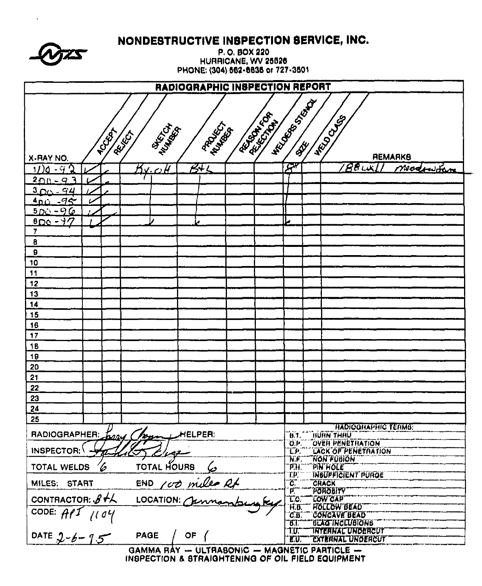|                              |                                         | NONDESTRUCTIVE INSPECTION SERVICE, INC.      |                                     |                                                           |                                                       |  |  |
|------------------------------|-----------------------------------------|----------------------------------------------|-------------------------------------|-----------------------------------------------------------|-------------------------------------------------------|--|--|
|                              |                                         |                                              | P.O. BOX 220<br>HURRICANE, WV 25526 |                                                           |                                                       |  |  |
|                              |                                         | PHONE: (304) 562-6835 or 727-3501            |                                     |                                                           |                                                       |  |  |
|                              |                                         | RADIOGRAPHIC INSPECTION REPORT               |                                     |                                                           |                                                       |  |  |
|                              |                                         |                                              |                                     |                                                           |                                                       |  |  |
|                              |                                         |                                              |                                     | <b>HELD OF BOOM PIPE</b>                                  |                                                       |  |  |
|                              |                                         |                                              | <b>FEDERAL</b> IOF<br><b>RECITE</b> |                                                           | <b>WARD CASE</b>                                      |  |  |
| <b>TOUR</b>                  | MERICA<br>REFERE                        | <b>RANGER</b>                                |                                     |                                                           |                                                       |  |  |
|                              |                                         |                                              |                                     |                                                           |                                                       |  |  |
| X-RAY NO.                    |                                         |                                              |                                     |                                                           | REMARKB                                               |  |  |
| $11)0 - 92$                  | V, V                                    | B1                                           |                                     | $\mathcal{F}^k$                                           | $88$ WX<br>Modernition                                |  |  |
| $200 - 93$                   |                                         |                                              |                                     |                                                           |                                                       |  |  |
| $300 - 94$<br>$400 - 75$     |                                         |                                              |                                     |                                                           |                                                       |  |  |
| $5D_0 - 96$                  |                                         |                                              |                                     |                                                           |                                                       |  |  |
| $800 - 77$                   |                                         |                                              |                                     | L                                                         |                                                       |  |  |
| 7                            |                                         |                                              |                                     |                                                           |                                                       |  |  |
| 8                            |                                         |                                              |                                     |                                                           |                                                       |  |  |
| $\mathbf 9$                  |                                         |                                              |                                     |                                                           |                                                       |  |  |
| 10<br>11                     |                                         |                                              |                                     |                                                           |                                                       |  |  |
| 12                           |                                         |                                              |                                     |                                                           |                                                       |  |  |
| 13                           |                                         |                                              |                                     |                                                           |                                                       |  |  |
| 14                           |                                         |                                              |                                     |                                                           |                                                       |  |  |
| 15                           |                                         |                                              |                                     |                                                           |                                                       |  |  |
| 16                           |                                         |                                              |                                     |                                                           |                                                       |  |  |
| 17                           |                                         |                                              |                                     |                                                           |                                                       |  |  |
| 18<br>19                     |                                         |                                              |                                     |                                                           |                                                       |  |  |
| 20                           |                                         |                                              |                                     |                                                           |                                                       |  |  |
| 21                           |                                         |                                              |                                     |                                                           |                                                       |  |  |
| 22                           |                                         |                                              |                                     |                                                           |                                                       |  |  |
| 23<br>. .                    |                                         |                                              |                                     |                                                           |                                                       |  |  |
| 24                           |                                         |                                              |                                     |                                                           |                                                       |  |  |
| 25                           |                                         |                                              |                                     |                                                           | <b>HADIOQHAPHIC TERMS:</b>                            |  |  |
| RADIOGRAPHER:                | Tom<br><u>tappy</u>                     | HELPER:                                      |                                     | U.T.                                                      | <b>BUHN THINU</b>                                     |  |  |
| INSPECTOR;                   |                                         |                                              |                                     | O.P<br>TP.                                                | <b>OVEH PENETRATION</b><br><b>LACK OF PENETRATION</b> |  |  |
|                              | TOTAL HOURS                             |                                              |                                     | Tif.<br>TH.                                               | 'NON'FUBION                                           |  |  |
| 6<br><b>TOTAL WELDS</b>      | `¤IN`HOLE`<br><b>INBUFFICIENT PURGE</b> |                                              |                                     |                                                           |                                                       |  |  |
| MILES: START                 |                                         | END 100 miles Rt                             |                                     | TP.<br>τ.                                                 | <b>CRACK</b>                                          |  |  |
| CONTRACTOR: $8 + 1$          |                                         |                                              |                                     | $\mathfrak{p}$<br>Tc.                                     | <i><b>VOROBITY</b></i><br>`COW''CAP''                 |  |  |
|                              |                                         |                                              |                                     | ŦБ.                                                       | <b>HOLLOW BEAD</b>                                    |  |  |
| CODE: $\overline{A}$<br>1104 |                                         |                                              |                                     | <b>CONCAVE BEAD</b><br>ĊВ<br>67.<br><b>BLAGTNCLUBIONS</b> |                                                       |  |  |
|                              | <b>PAGE</b>                             |                                              | 10,<br><b>INTERNAL UNDERCUT</b>     |                                                           |                                                       |  |  |
| DATE $2 - 6 - 9.5$           |                                         | OF                                           |                                     | EU.                                                       | <b>EXTERNAL UNDERCUT</b>                              |  |  |
|                              |                                         | GAMMA RAY - ULTRABONIC - MAGNETIC PARTICLE - |                                     |                                                           |                                                       |  |  |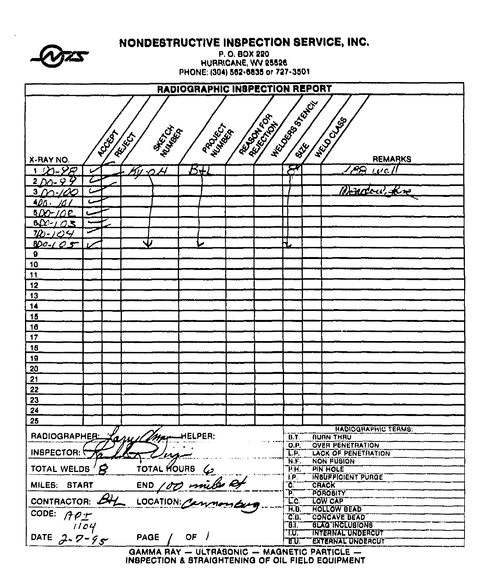

## NONDESTRUCTIVE INSPECTION SERVICE, INC.

P.O. BOX 220 HURRICANE, WV 25526 PHONE: (304) 562-6835 or 727-3501

| RADIOGRAPHIC INSPECTION REPORT                                                                                        |      |                  |                                  |                  |                           |                                              |                                                      |  |  |  |
|-----------------------------------------------------------------------------------------------------------------------|------|------------------|----------------------------------|------------------|---------------------------|----------------------------------------------|------------------------------------------------------|--|--|--|
| <b>HECOCOON BOOM</b><br><b>REATIVES</b><br><b>WESTERN BAS</b><br><b>READA</b><br>PROVISITORIA<br><b>POOR</b><br>REIGH |      |                  |                                  |                  |                           |                                              |                                                      |  |  |  |
|                                                                                                                       |      |                  |                                  |                  |                           |                                              |                                                      |  |  |  |
| X-RAY NO.                                                                                                             |      |                  |                                  |                  |                           |                                              | <b>REMARKS</b>                                       |  |  |  |
| $7 - 28$                                                                                                              |      |                  | $\overline{\mathcal{A}}$<br>50 O | $E\pm$           |                           | $\bm{S}'$                                    | <b>PQ</b><br>$\mu$ all                               |  |  |  |
| Ÿ<br>$200 - 9$                                                                                                        |      |                  |                                  |                  |                           |                                              |                                                      |  |  |  |
| $3\gamma$                                                                                                             |      |                  |                                  |                  |                           |                                              | Bradou, kr                                           |  |  |  |
| <u>400.</u><br>ו מי                                                                                                   |      |                  |                                  |                  |                           |                                              |                                                      |  |  |  |
| 5DO-10E                                                                                                               |      |                  |                                  |                  |                           |                                              |                                                      |  |  |  |
| 60/705                                                                                                                |      |                  |                                  |                  |                           |                                              |                                                      |  |  |  |
| $70 - 104$                                                                                                            |      |                  |                                  |                  |                           |                                              |                                                      |  |  |  |
| <u>BDO-105</u>                                                                                                        |      |                  |                                  |                  |                           | H                                            |                                                      |  |  |  |
| $\boldsymbol{\Omega}$                                                                                                 |      |                  |                                  |                  |                           |                                              |                                                      |  |  |  |
| <u>10</u>                                                                                                             |      |                  |                                  |                  |                           |                                              |                                                      |  |  |  |
| 11                                                                                                                    |      |                  |                                  |                  |                           |                                              |                                                      |  |  |  |
| 12                                                                                                                    |      |                  |                                  |                  |                           |                                              |                                                      |  |  |  |
| 13                                                                                                                    |      |                  |                                  |                  |                           |                                              |                                                      |  |  |  |
| 14                                                                                                                    |      |                  |                                  |                  |                           |                                              |                                                      |  |  |  |
| 15                                                                                                                    |      |                  |                                  |                  |                           |                                              |                                                      |  |  |  |
| 18                                                                                                                    |      |                  |                                  |                  |                           |                                              |                                                      |  |  |  |
| 17                                                                                                                    |      |                  |                                  |                  |                           |                                              |                                                      |  |  |  |
| 18                                                                                                                    |      |                  |                                  |                  |                           |                                              |                                                      |  |  |  |
| 19                                                                                                                    |      |                  |                                  |                  |                           |                                              |                                                      |  |  |  |
| 20                                                                                                                    |      |                  |                                  |                  |                           |                                              |                                                      |  |  |  |
| 21                                                                                                                    |      |                  |                                  |                  |                           |                                              |                                                      |  |  |  |
| 22                                                                                                                    |      |                  |                                  |                  |                           |                                              |                                                      |  |  |  |
| 23                                                                                                                    |      |                  |                                  |                  |                           |                                              |                                                      |  |  |  |
| 24                                                                                                                    |      |                  |                                  |                  |                           |                                              |                                                      |  |  |  |
| 25                                                                                                                    |      |                  |                                  |                  |                           |                                              |                                                      |  |  |  |
| RADIOGRAPHER:                                                                                                         |      |                  |                                  |                  |                           | B.T.                                         | <b>HADIOGRAPHIC TERMS:</b><br><b>NURN THAU</b>       |  |  |  |
|                                                                                                                       |      |                  | Fazy Commencion                  |                  |                           | $\overline{O.P}$                             | <b>OVER PENETRATION</b>                              |  |  |  |
| INSPECTOR:                                                                                                            |      |                  | $\sqrt{2}$<br>Virgi              |                  |                           | $\overline{\mathsf{LP}}$                     | <b>LACK OF PENETRATION</b>                           |  |  |  |
| TOTAL WELDS                                                                                                           |      | $\boldsymbol{B}$ |                                  | TOTAL HOURS 4    |                           | WF.<br>$\overline{\mathcal{F}}$ H.           | <b>NON FUSION</b><br><b>PIN HOLE</b>                 |  |  |  |
|                                                                                                                       |      |                  |                                  | Τp               | <b>INSUPPICIENT PURGE</b> |                                              |                                                      |  |  |  |
| MILES: START                                                                                                          |      |                  |                                  | END 100 miles of |                           | ĩÕ,                                          | <b>CRACK</b>                                         |  |  |  |
|                                                                                                                       |      |                  |                                  |                  |                           | Þ.,<br>T.C                                   | <b>POROBITY</b><br><b>TOW CAP</b>                    |  |  |  |
| CONTRACTOR:                                                                                                           |      |                  |                                  |                  |                           | $\overline{H}$ .                             | <b>HOLLOW BEAD</b>                                   |  |  |  |
| CODE:<br>API                                                                                                          |      |                  |                                  |                  |                           | <b>CD.</b>                                   | <b>CONCAVE BEAD</b>                                  |  |  |  |
|                                                                                                                       | 1104 |                  |                                  |                  |                           | הום־                                         | <b>BLAG INCLUBIONS</b>                               |  |  |  |
| DATE $2.7 - 95$                                                                                                       |      |                  | <b>PAGE</b>                      | OF               |                           | תו־<br>TU.                                   | <b>INYEANAL UNDERCUT</b><br><b>EXTERNAL UNDERCUT</b> |  |  |  |
|                                                                                                                       |      |                  |                                  |                  |                           | GAMMA RAY - ULTRABONIC - MAGNETIC PARTICLE - |                                                      |  |  |  |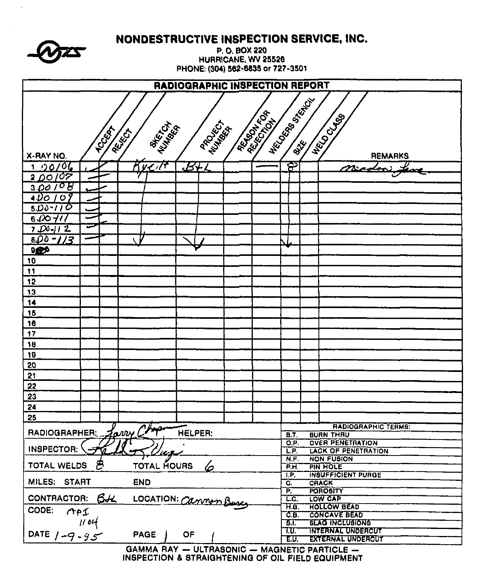|                    | P. O. BOX 220<br>HURRICANE, WV 25526<br>PHONE: (304) 562-6835 or 727-3501<br>RADIOGRAPHIC INSPECTION REPORT                                                    |                    |                                              |                                              |                                                                  |                                             |  |  |  |  |  |  |  |
|--------------------|----------------------------------------------------------------------------------------------------------------------------------------------------------------|--------------------|----------------------------------------------|----------------------------------------------|------------------------------------------------------------------|---------------------------------------------|--|--|--|--|--|--|--|
|                    |                                                                                                                                                                |                    |                                              |                                              |                                                                  |                                             |  |  |  |  |  |  |  |
|                    | HECLOCED BACK<br><b>ARIAN REA</b><br><b>HELD CLABS</b><br><b>PROJECT</b><br><b>AHERIAN</b><br>WINTERN<br><b>TCCCCC</b><br>RELEG<br>X-RAY NO.<br><b>REMARKS</b> |                    |                                              |                                              |                                                                  |                                             |  |  |  |  |  |  |  |
| 00/06<br>1.        |                                                                                                                                                                | Tue It             | $\mathcal{B}$ ti                             |                                              | දා                                                               | madon                                       |  |  |  |  |  |  |  |
| <u>2 DO 107</u>    |                                                                                                                                                                |                    |                                              |                                              |                                                                  |                                             |  |  |  |  |  |  |  |
| 300/08             |                                                                                                                                                                |                    |                                              |                                              |                                                                  |                                             |  |  |  |  |  |  |  |
| 4 DO<br>107        |                                                                                                                                                                |                    |                                              |                                              |                                                                  |                                             |  |  |  |  |  |  |  |
| $5D_0 - 11O$       |                                                                                                                                                                |                    |                                              |                                              |                                                                  |                                             |  |  |  |  |  |  |  |
| 6400711            |                                                                                                                                                                |                    |                                              |                                              |                                                                  |                                             |  |  |  |  |  |  |  |
| $7.00 - 11.2$      |                                                                                                                                                                |                    |                                              |                                              |                                                                  |                                             |  |  |  |  |  |  |  |
| $800 - 1/3$        |                                                                                                                                                                |                    |                                              |                                              |                                                                  |                                             |  |  |  |  |  |  |  |
| 960<br>10          |                                                                                                                                                                |                    |                                              |                                              |                                                                  |                                             |  |  |  |  |  |  |  |
| $\ddot{1}$         |                                                                                                                                                                |                    |                                              |                                              |                                                                  |                                             |  |  |  |  |  |  |  |
| 12                 |                                                                                                                                                                |                    |                                              |                                              |                                                                  |                                             |  |  |  |  |  |  |  |
| 13                 |                                                                                                                                                                |                    |                                              |                                              |                                                                  |                                             |  |  |  |  |  |  |  |
| 14                 |                                                                                                                                                                |                    |                                              |                                              |                                                                  |                                             |  |  |  |  |  |  |  |
| 15                 |                                                                                                                                                                |                    |                                              |                                              |                                                                  |                                             |  |  |  |  |  |  |  |
| 16                 |                                                                                                                                                                |                    |                                              |                                              |                                                                  |                                             |  |  |  |  |  |  |  |
| 17                 |                                                                                                                                                                |                    |                                              |                                              |                                                                  |                                             |  |  |  |  |  |  |  |
| 18                 |                                                                                                                                                                |                    |                                              |                                              |                                                                  |                                             |  |  |  |  |  |  |  |
| 19                 |                                                                                                                                                                |                    |                                              |                                              |                                                                  |                                             |  |  |  |  |  |  |  |
| 20                 |                                                                                                                                                                |                    |                                              |                                              |                                                                  |                                             |  |  |  |  |  |  |  |
| 21                 |                                                                                                                                                                |                    |                                              |                                              |                                                                  |                                             |  |  |  |  |  |  |  |
| 22<br>23           |                                                                                                                                                                |                    |                                              |                                              |                                                                  |                                             |  |  |  |  |  |  |  |
| 24                 |                                                                                                                                                                |                    |                                              |                                              |                                                                  |                                             |  |  |  |  |  |  |  |
| 25                 |                                                                                                                                                                |                    |                                              |                                              |                                                                  |                                             |  |  |  |  |  |  |  |
|                    |                                                                                                                                                                | Jarry Chop         |                                              |                                              |                                                                  | <b>FIADIOGRAPHIC TERMS:</b>                 |  |  |  |  |  |  |  |
| RADIOGRAPHER:      |                                                                                                                                                                |                    | <b>HELPER:</b>                               |                                              | <b>B.T.</b><br>O.P.                                              | <b>BURN THRU</b><br><b>OVER PENETRATION</b> |  |  |  |  |  |  |  |
| INSPECTOR:         |                                                                                                                                                                |                    |                                              |                                              | $\overline{LP}$ .                                                | <b>LACK OF PENETRATION</b>                  |  |  |  |  |  |  |  |
| TOTAL WELDS        |                                                                                                                                                                |                    |                                              | N.F.                                         | <b>NON FUSION</b>                                                |                                             |  |  |  |  |  |  |  |
|                    |                                                                                                                                                                | <b>TOTAL HOURS</b> | P.H.<br>T.P                                  | <b>PIN HOLE</b><br><b>INSUFFICIENT PURGE</b> |                                                                  |                                             |  |  |  |  |  |  |  |
| MILES: START       |                                                                                                                                                                | <b>END</b>         |                                              |                                              | G.                                                               | CRACK                                       |  |  |  |  |  |  |  |
| <b>CONTRACTOR:</b> | 64                                                                                                                                                             |                    |                                              |                                              | P.<br>TC                                                         | <b>POROBITY</b><br>LOW CAP                  |  |  |  |  |  |  |  |
| CODE:              |                                                                                                                                                                |                    | LOCATION: Cannon Buse                        |                                              | म.ब.                                                             | <b>HOLLOW BEAD</b>                          |  |  |  |  |  |  |  |
| API                |                                                                                                                                                                |                    |                                              |                                              | C.B.<br><b>CONCAVE BEAD</b>                                      |                                             |  |  |  |  |  |  |  |
|                    | 1104                                                                                                                                                           |                    |                                              |                                              | 31<br><b>BLAG INCLUBIONS</b><br><b>INTERNAL UNDERCUT</b><br>T.U. |                                             |  |  |  |  |  |  |  |
| DATE $1 - 9 - 95$  |                                                                                                                                                                | <b>PAGE</b>        | OF                                           |                                              | E.U.                                                             | <b>EXTERNAL UNDERCUT</b>                    |  |  |  |  |  |  |  |
|                    |                                                                                                                                                                |                    | GAMMA RAY - ULTRASONIC - MAGNETIC PARTICLE - |                                              |                                                                  |                                             |  |  |  |  |  |  |  |

NONDESTRUCTIVE INSPECTION SERVICE, INC.

 $\ddot{\phantom{a}}$ 

 $\sqrt{2}$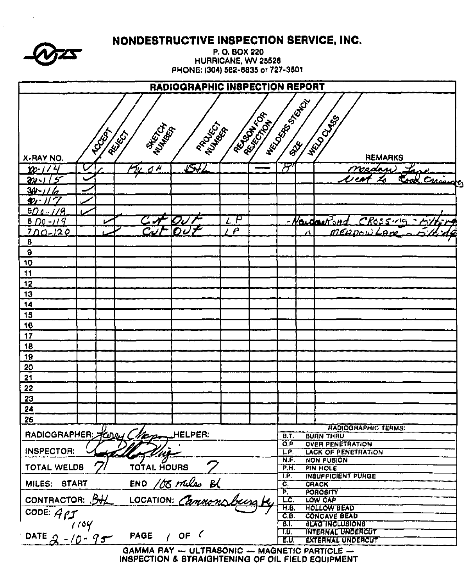|                           | NONDESTRUCTIVE INSPECTION SERVICE, INC. |                       |                                              |                                   |                     |                |                                                            |  |                                                |  |  |
|---------------------------|-----------------------------------------|-----------------------|----------------------------------------------|-----------------------------------|---------------------|----------------|------------------------------------------------------------|--|------------------------------------------------|--|--|
|                           |                                         |                       |                                              |                                   | P.O. BOX 220        |                |                                                            |  |                                                |  |  |
|                           |                                         |                       |                                              | PHONE: (304) 562-6835 or 727-3501 | HURRICANE, WV 25526 |                |                                                            |  |                                                |  |  |
|                           |                                         |                       |                                              |                                   |                     |                |                                                            |  |                                                |  |  |
|                           |                                         |                       |                                              | RADIOGRAPHIC INSPECTION REPORT    |                     |                |                                                            |  |                                                |  |  |
|                           |                                         |                       |                                              |                                   |                     |                | <b>HELD OF BOOM POOL</b>                                   |  |                                                |  |  |
|                           |                                         |                       |                                              |                                   |                     | <b>REATIVE</b> |                                                            |  |                                                |  |  |
|                           |                                         |                       | <b>REAGA</b>                                 |                                   |                     |                |                                                            |  | <b>HRUDOLUS</b>                                |  |  |
|                           |                                         | <b>POORT</b><br>REIGH |                                              | PROCESS                           |                     |                |                                                            |  |                                                |  |  |
|                           |                                         |                       |                                              |                                   |                     |                |                                                            |  |                                                |  |  |
| X-RAY NO.                 |                                         |                       |                                              |                                   |                     |                |                                                            |  | <b>REMARKS</b>                                 |  |  |
| $10 - 114$                |                                         |                       | $d \overline{\mu}$                           | 542                               |                     |                | ਆ                                                          |  | Nadan)                                         |  |  |
| 5<br><u>an </u>           |                                         |                       |                                              |                                   |                     |                |                                                            |  | Carringe                                       |  |  |
| <u> 34 -</u>              |                                         |                       |                                              |                                   |                     |                |                                                            |  |                                                |  |  |
| 勉<br>$500 - 179$          |                                         |                       |                                              |                                   |                     |                |                                                            |  |                                                |  |  |
| $6D9 - 119$               |                                         |                       |                                              |                                   | Z P                 |                |                                                            |  | <u>-Newton Road</u><br>$CR$ oss $\nu$ q        |  |  |
| $700 - 120$               |                                         |                       |                                              | f)<br>J                           | $\boldsymbol{\rho}$ |                |                                                            |  | MERDOW LAN                                     |  |  |
| 8                         |                                         |                       |                                              |                                   |                     |                |                                                            |  |                                                |  |  |
| 9                         |                                         |                       |                                              |                                   |                     |                |                                                            |  |                                                |  |  |
| 10                        |                                         |                       |                                              |                                   |                     |                |                                                            |  |                                                |  |  |
| 11                        |                                         |                       |                                              |                                   |                     |                |                                                            |  |                                                |  |  |
| 12                        |                                         |                       |                                              |                                   |                     |                |                                                            |  |                                                |  |  |
| 13                        |                                         |                       |                                              |                                   |                     |                |                                                            |  |                                                |  |  |
| 14                        |                                         |                       |                                              |                                   |                     |                |                                                            |  |                                                |  |  |
| 15                        |                                         |                       |                                              |                                   |                     |                |                                                            |  |                                                |  |  |
| 16                        |                                         |                       |                                              |                                   |                     |                |                                                            |  |                                                |  |  |
| 17<br>18                  |                                         |                       |                                              |                                   |                     |                |                                                            |  |                                                |  |  |
| 19                        |                                         |                       |                                              |                                   |                     |                |                                                            |  |                                                |  |  |
| 20                        |                                         |                       |                                              |                                   |                     |                |                                                            |  |                                                |  |  |
| 21                        |                                         |                       |                                              |                                   |                     |                |                                                            |  |                                                |  |  |
| 22                        |                                         |                       |                                              |                                   |                     |                |                                                            |  |                                                |  |  |
| 23                        |                                         |                       |                                              |                                   |                     |                |                                                            |  |                                                |  |  |
| 24                        |                                         |                       |                                              |                                   |                     |                |                                                            |  |                                                |  |  |
| 25                        |                                         |                       |                                              |                                   |                     |                |                                                            |  |                                                |  |  |
| RADIOGRAPHER Keyey Chaper |                                         |                       |                                              | HELPER:                           |                     |                | B.T.                                                       |  | <b>RADIOGRAPHIC TERMS:</b><br><b>BURN THRU</b> |  |  |
|                           |                                         |                       |                                              |                                   |                     |                | O.P.                                                       |  | <b>OVER PENETRATION</b>                        |  |  |
| <b>INSPECTOR:</b>         |                                         |                       |                                              |                                   |                     |                | L.P.                                                       |  | <b>LACK OF PENETRATION</b>                     |  |  |
| TOTAL WELDS               |                                         |                       | TOTAL HOURS                                  |                                   |                     |                | N.F.<br>PH.                                                |  | <b>NON FUSION</b><br>PIN HOLE                  |  |  |
|                           |                                         |                       |                                              |                                   | I.P.                |                | <b>INSUFFICIENT PURGE</b>                                  |  |                                                |  |  |
| MILES: START              |                                         |                       |                                              | $END$ /00 miles $B($              |                     |                | $\overline{\mathbf{c}}$ .<br>$\mathbf{P}$                  |  | <b>CRACK</b><br><b>POROBITY</b>                |  |  |
| CONTRACTOR: BHL           |                                         |                       |                                              | LOCATION: Cannonsburg             |                     |                | LC.                                                        |  | LOW CAP                                        |  |  |
| CODE: $47$                |                                         |                       |                                              |                                   |                     |                | <b>HOLLOW BEAD</b><br>H.B.                                 |  |                                                |  |  |
|                           | /٥٧ ،                                   |                       |                                              |                                   |                     |                | CE<br><b>CONCAVE BEAD</b><br>ЪT.<br><b>SLAG INCLUSIONS</b> |  |                                                |  |  |
|                           |                                         |                       | <b>PAGE</b>                                  | $\prime$ OF $\prime$              |                     |                | T.U.                                                       |  | <b>INTERNAL UNDERCUT</b>                       |  |  |
| DATE $2 - 10 - 95$        |                                         |                       |                                              |                                   |                     |                | EU.                                                        |  | <b>EXTERNAL UNDERCUT</b>                       |  |  |
|                           |                                         |                       | GAMMA RAY - ULTRABONIC - MAGNETIC PARTICLE - |                                   |                     |                |                                                            |  |                                                |  |  |

 $\sim$   $\pm$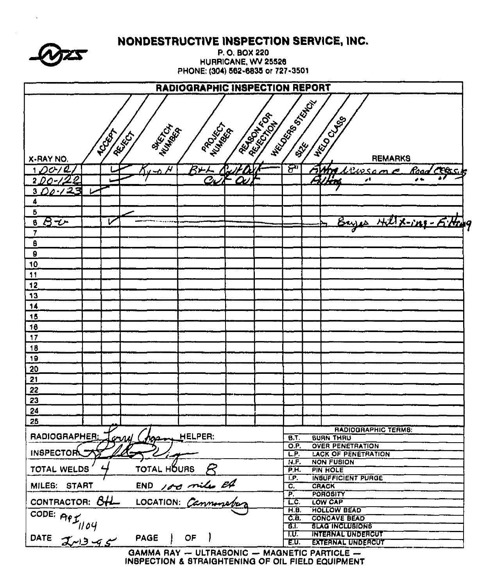|                                                              | NONDESTRUCTIVE INSPECTION SERVICE, INC.                            |  |  |  |  |  |  |  |  |  |  |
|--------------------------------------------------------------|--------------------------------------------------------------------|--|--|--|--|--|--|--|--|--|--|
| P.O. BOX 220                                                 |                                                                    |  |  |  |  |  |  |  |  |  |  |
| HURRICANE, WV 25526<br>PHONE: (304) 562-6835 or 727-3501     |                                                                    |  |  |  |  |  |  |  |  |  |  |
|                                                              |                                                                    |  |  |  |  |  |  |  |  |  |  |
| RADIOGRAPHIC INSPECTION REPORT                               |                                                                    |  |  |  |  |  |  |  |  |  |  |
|                                                              | NECTION BOOM                                                       |  |  |  |  |  |  |  |  |  |  |
|                                                              |                                                                    |  |  |  |  |  |  |  |  |  |  |
| <b>ALLING</b><br>PROJECT<br>NUMBER                           | <b>HELD CLUB</b>                                                   |  |  |  |  |  |  |  |  |  |  |
| <b>POUS</b><br>REFERE                                        |                                                                    |  |  |  |  |  |  |  |  |  |  |
| X-RAY NO.                                                    | <b>REGISTERED</b><br><b>REMARKS</b>                                |  |  |  |  |  |  |  |  |  |  |
| $R+1$<br>$\mu$<br>$1$ $O$ c $1$ $\ell$<br><u>∽ბ</u>          | <u>ليل</u><br>$42ws$ cme<br><u> Filma.</u><br><b>CERS</b><br>مەنتە |  |  |  |  |  |  |  |  |  |  |
| <u>.2</u><br>$\mathcal{C}_L$<br>2.DO                         | I.<br>A<br>øŧ                                                      |  |  |  |  |  |  |  |  |  |  |
| 00.123<br>3.                                                 |                                                                    |  |  |  |  |  |  |  |  |  |  |
| 4                                                            |                                                                    |  |  |  |  |  |  |  |  |  |  |
| 6<br>$B\overline{\bm{\psi}}$<br>$\overline{\mathbf{6}}$<br>ν | Bayes Hill X-ing-5:Hay                                             |  |  |  |  |  |  |  |  |  |  |
| 7                                                            |                                                                    |  |  |  |  |  |  |  |  |  |  |
| 8                                                            |                                                                    |  |  |  |  |  |  |  |  |  |  |
| $\theta$                                                     |                                                                    |  |  |  |  |  |  |  |  |  |  |
| 10                                                           |                                                                    |  |  |  |  |  |  |  |  |  |  |
| 11                                                           |                                                                    |  |  |  |  |  |  |  |  |  |  |
| 12                                                           |                                                                    |  |  |  |  |  |  |  |  |  |  |
| 13                                                           |                                                                    |  |  |  |  |  |  |  |  |  |  |
| 14<br>15                                                     |                                                                    |  |  |  |  |  |  |  |  |  |  |
| 18                                                           |                                                                    |  |  |  |  |  |  |  |  |  |  |
| 17                                                           |                                                                    |  |  |  |  |  |  |  |  |  |  |
| 18                                                           |                                                                    |  |  |  |  |  |  |  |  |  |  |
| 19                                                           |                                                                    |  |  |  |  |  |  |  |  |  |  |
| 20                                                           |                                                                    |  |  |  |  |  |  |  |  |  |  |
| 21                                                           |                                                                    |  |  |  |  |  |  |  |  |  |  |
| 22                                                           |                                                                    |  |  |  |  |  |  |  |  |  |  |
| 23<br>24                                                     |                                                                    |  |  |  |  |  |  |  |  |  |  |
| 25                                                           |                                                                    |  |  |  |  |  |  |  |  |  |  |
|                                                              | <b>RADIOGRAPHIC TERMS:</b>                                         |  |  |  |  |  |  |  |  |  |  |
| RADIOGRAPHER:<br>HELPER:<br><u>ony Chos</u>                  | <b>BURN THRU</b><br><b>B.T.</b><br>O.P.<br><b>OVER PENETRATION</b> |  |  |  |  |  |  |  |  |  |  |
| <b>INSPECTORY</b>                                            | <b>LACK OF PENETRATION</b><br>LP.                                  |  |  |  |  |  |  |  |  |  |  |
| TOTAL HÕURS<br><b>TOTAL WELDS</b>                            | <b>NON FUBION</b><br>N.F.<br>P.H.<br><b>PIN HOLE</b>               |  |  |  |  |  |  |  |  |  |  |
|                                                              | <b>INSUFFICIENT PURGE</b><br>I.P.                                  |  |  |  |  |  |  |  |  |  |  |
| END 100 miles 24<br>MILES: START                             | ᡖ<br><b>CRACK</b><br>$\overline{\mathsf{P}}$<br>POROSITY           |  |  |  |  |  |  |  |  |  |  |
| CONTRACTOR: 8HL                                              | LC.<br><b>LOW CAP</b>                                              |  |  |  |  |  |  |  |  |  |  |
|                                                              | <b>HOLLOW BEAD</b><br>H.B.<br>C.E.<br><b>CONCAVE BEAD</b>          |  |  |  |  |  |  |  |  |  |  |
|                                                              | <b>BLAG INCLUBIONS</b><br>डा                                       |  |  |  |  |  |  |  |  |  |  |
| CODE: API <sub>1104</sub><br><b>PAGE</b><br>$OF$ )           | <b>INTERNAL UNDERCUT</b><br>T.U.                                   |  |  |  |  |  |  |  |  |  |  |
| GAMMA RAY $-$ ULTRASONIC $-$ MAGNETIC PARTICLE $-$           | <b>EXTERNAL UNDERCUT</b><br>E.U.                                   |  |  |  |  |  |  |  |  |  |  |

 $\bar{\mathbf{r}}$ 

GAMMA HAY - ULTRASONIC - MAGNETIC PARTICLE -<br>INSPECTION & STRAIGHTENING OF OIL FIELD EQUIPMENT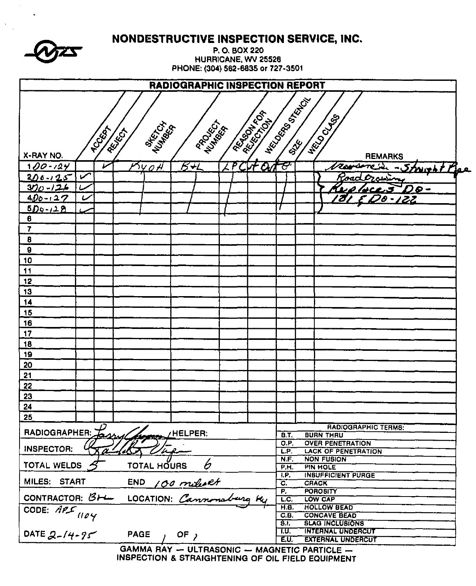75

 $\mathbf{v}$ 

 $\ddot{\phantom{a}}$ 

NONDESTRUCTIVE INSPECTION SERVICE, INC.

P.O. BOX 220 HURRICANE, WV 25528 PHONE: (304) 562-6835 or 727-3501

|                                                                          |                                                                                         |              |             |            | <b>RADIOGRAPHIC INSPECTION REPORT</b> |  |                                                               |             |  |                                                 |  |
|--------------------------------------------------------------------------|-----------------------------------------------------------------------------------------|--------------|-------------|------------|---------------------------------------|--|---------------------------------------------------------------|-------------|--|-------------------------------------------------|--|
|                                                                          | <b>HECONOR SORIES</b><br><b>ARIAN AREA</b><br>NECO CLABS<br><b>MARTING</b><br>PROCESS I |              |             |            |                                       |  |                                                               |             |  |                                                 |  |
| X-RAY NO.                                                                |                                                                                         | <b>TCCCC</b> | RELEGI      |            |                                       |  |                                                               |             |  | <b>REMARKS</b>                                  |  |
| <u>10</u> 0-124                                                          |                                                                                         |              |             | ነሃ o f     | िरूर                                  |  | rt Out                                                        | स्र         |  | rousen s<br>- <i>Strucht Plas</i>               |  |
| $200 - 25$                                                               | $\blacktriangleright$                                                                   |              |             |            |                                       |  |                                                               |             |  |                                                 |  |
| 30c - 12h                                                                |                                                                                         |              |             |            |                                       |  |                                                               |             |  | 9 -                                             |  |
| $400 - 127$                                                              | L                                                                                       |              |             |            |                                       |  |                                                               |             |  | 'O - I Z Z                                      |  |
| 5D0-128                                                                  |                                                                                         |              |             |            |                                       |  |                                                               |             |  |                                                 |  |
| $\pmb{6}$                                                                |                                                                                         |              |             |            |                                       |  |                                                               |             |  |                                                 |  |
| $\overline{7}$                                                           |                                                                                         |              |             |            |                                       |  |                                                               |             |  |                                                 |  |
| $\pmb{8}$                                                                |                                                                                         |              |             |            |                                       |  |                                                               |             |  |                                                 |  |
| $\theta$                                                                 |                                                                                         |              |             |            |                                       |  |                                                               |             |  |                                                 |  |
| 10                                                                       |                                                                                         |              |             |            |                                       |  |                                                               |             |  |                                                 |  |
| 11                                                                       |                                                                                         |              |             |            |                                       |  |                                                               |             |  |                                                 |  |
| 12                                                                       |                                                                                         |              |             |            |                                       |  |                                                               |             |  |                                                 |  |
| <u>13</u>                                                                |                                                                                         |              |             |            |                                       |  |                                                               |             |  |                                                 |  |
| 14                                                                       |                                                                                         |              |             |            |                                       |  |                                                               |             |  |                                                 |  |
| 15                                                                       |                                                                                         |              |             |            |                                       |  |                                                               |             |  |                                                 |  |
| 16                                                                       |                                                                                         |              |             |            |                                       |  |                                                               |             |  |                                                 |  |
| 17                                                                       |                                                                                         |              |             |            |                                       |  |                                                               |             |  |                                                 |  |
| 18                                                                       |                                                                                         |              |             |            |                                       |  |                                                               |             |  |                                                 |  |
| 19                                                                       |                                                                                         |              |             |            |                                       |  |                                                               |             |  |                                                 |  |
| 20                                                                       |                                                                                         |              |             |            |                                       |  |                                                               |             |  |                                                 |  |
| 21                                                                       |                                                                                         |              |             |            |                                       |  |                                                               |             |  |                                                 |  |
| 22                                                                       |                                                                                         |              |             |            |                                       |  |                                                               |             |  |                                                 |  |
| 23                                                                       |                                                                                         |              |             |            |                                       |  |                                                               |             |  |                                                 |  |
| 24<br>25                                                                 |                                                                                         |              |             |            |                                       |  |                                                               |             |  |                                                 |  |
|                                                                          |                                                                                         |              |             |            |                                       |  |                                                               |             |  | <b>RADIOGRAPHIC TERMS:</b>                      |  |
| <b>RADIOGRAPHER:</b>                                                     |                                                                                         | <u>Tassy</u> |             |            | /HELPER:                              |  |                                                               | <b>B.T.</b> |  | <b>BURN THRU</b>                                |  |
|                                                                          |                                                                                         |              |             |            |                                       |  |                                                               | O.P.        |  | <b>OVER PENETRATION</b>                         |  |
| <b>INSPECTOR:</b>                                                        |                                                                                         |              |             | Kallet Une |                                       |  |                                                               | LP<br>N.F.  |  | <b>LACK OF PENETRATION</b><br><b>NON FUSION</b> |  |
| 6<br>TOTAL WELDS<br>TOTAL HOURS                                          |                                                                                         |              |             |            |                                       |  |                                                               |             |  | PIN HOLE                                        |  |
|                                                                          |                                                                                         |              |             |            |                                       |  |                                                               |             |  | <b>INSUFFICIENT PURGE</b><br><b>CRACK</b>       |  |
| MILES: START END 100 miles et<br>CONTRACTOR: BH LOCATION: Cannonaburg Ky |                                                                                         |              |             |            |                                       |  |                                                               |             |  | <b>POROSITY</b><br>LOW CAP                      |  |
| CODE: APS 1104                                                           |                                                                                         |              |             |            |                                       |  | LC.<br>H.B.<br><b>HOLLOW BEAD</b>                             |             |  |                                                 |  |
|                                                                          |                                                                                         |              |             |            |                                       |  | C.B.<br><b>CONCAVE BEAD</b><br>5.1.<br><b>SLAG INCLUSIONS</b> |             |  |                                                 |  |
| DATE $2-14-95$                                                           |                                                                                         |              | <b>PAGE</b> |            | OF $\lambda$                          |  |                                                               | T.U.        |  | <b>INTERNAL UNDERCUT</b>                        |  |
|                                                                          |                                                                                         |              |             |            |                                       |  |                                                               | E.U.        |  | <b>EXTERNAL UNDERCUT</b>                        |  |

GAMMA RAY - ULTRASONIC - MAGNETIC PARTICLE -INSPECTION & STRAIGHTENING OF OIL FIELD EQUIPMENT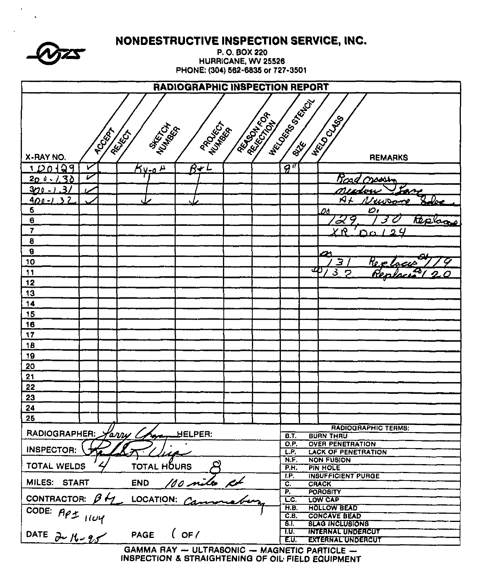|                                         |                  |                  |                                   |                                                      |                    | NONDESTRUCTIVE INSPECTION SERVICE, INC.            |  |  |  |
|-----------------------------------------|------------------|------------------|-----------------------------------|------------------------------------------------------|--------------------|----------------------------------------------------|--|--|--|
|                                         |                  |                  |                                   | P.O. BOX 220                                         |                    |                                                    |  |  |  |
|                                         |                  |                  | PHONE: (304) 562-6835 or 727-3501 | HURRICANE, WV 25526                                  |                    |                                                    |  |  |  |
|                                         |                  |                  |                                   |                                                      |                    |                                                    |  |  |  |
|                                         |                  |                  | RADIOGRAPHIC INSPECTION REPORT    |                                                      |                    |                                                    |  |  |  |
|                                         |                  |                  |                                   |                                                      | <b>HECOOS</b> BOOK |                                                    |  |  |  |
|                                         |                  |                  |                                   |                                                      |                    |                                                    |  |  |  |
|                                         |                  | <b>MARTIN</b>    | PROCESS A                         | AESIATION<br>REFERENCE                               |                    |                                                    |  |  |  |
|                                         | <b>TOCIÓN</b>    | REIGH            |                                   |                                                      |                    |                                                    |  |  |  |
| X-RAY NO.                               |                  |                  |                                   |                                                      |                    | <b>HRIDOCUS</b><br><b>REMARKS</b>                  |  |  |  |
| 1 D 0 1 2 9                             | v                | <u> Ky-o H</u>   | $B-L$                             |                                                      | $\overline{g}$ "   |                                                    |  |  |  |
| $200 - 130$                             | $\overline{\nu}$ |                  |                                   |                                                      |                    | Boad<br>سمصص                                       |  |  |  |
| $\mathbf{B}$<br><u>320 - 1</u>          |                  |                  |                                   |                                                      |                    | Lane                                               |  |  |  |
| ,<br><u>400 - 1</u>                     |                  |                  |                                   |                                                      |                    | The<br>K)                                          |  |  |  |
| 5                                       |                  |                  |                                   |                                                      |                    | Dı<br>Dc                                           |  |  |  |
| $\theta$<br>7                           |                  |                  |                                   |                                                      |                    | 2<br>tecloor                                       |  |  |  |
| 8                                       |                  |                  |                                   |                                                      |                    | ΧŊ<br>n                                            |  |  |  |
| $\boldsymbol{\theta}$                   |                  |                  |                                   |                                                      |                    | 45                                                 |  |  |  |
| 10                                      |                  |                  |                                   |                                                      |                    | 3<br>Re 1                                          |  |  |  |
| 11                                      |                  |                  |                                   |                                                      |                    | U)<br>$\mathcal{S}$<br>ヮ                           |  |  |  |
| 12                                      |                  |                  |                                   |                                                      |                    |                                                    |  |  |  |
| 13                                      |                  |                  |                                   |                                                      |                    |                                                    |  |  |  |
| 14                                      |                  |                  |                                   |                                                      |                    |                                                    |  |  |  |
| 15                                      |                  |                  |                                   |                                                      |                    |                                                    |  |  |  |
| 16                                      |                  |                  |                                   |                                                      |                    |                                                    |  |  |  |
| 17                                      |                  |                  |                                   |                                                      |                    |                                                    |  |  |  |
| 18                                      |                  |                  |                                   |                                                      |                    |                                                    |  |  |  |
| 19                                      |                  |                  |                                   |                                                      |                    |                                                    |  |  |  |
| 20                                      |                  |                  |                                   |                                                      |                    |                                                    |  |  |  |
| 21<br>22                                |                  |                  |                                   |                                                      |                    |                                                    |  |  |  |
| 23                                      |                  |                  |                                   |                                                      |                    |                                                    |  |  |  |
| 24                                      |                  |                  |                                   |                                                      |                    |                                                    |  |  |  |
| 25                                      |                  |                  |                                   |                                                      |                    |                                                    |  |  |  |
|                                         |                  |                  |                                   |                                                      |                    | <b>RADIOGRAPHIC TERMS:</b>                         |  |  |  |
| RADIOGRAPHER:                           |                  | Harry C          | HELPER:                           |                                                      | BT<br>O.P.         | <b>BURN THRU</b><br><b>OVER PENETRATION</b>        |  |  |  |
| INSPECTOR:                              |                  |                  |                                   |                                                      | L.P.               | <b>LACK OF PENETRATION</b>                         |  |  |  |
| TOTAL WELDS                             |                  | TOTAL HOURS      |                                   |                                                      | N.F.               | <b>NON FUSION</b>                                  |  |  |  |
|                                         |                  |                  | I.P.                              | <b>PIN HOLE</b><br>P.H.<br><b>INSUFFICIENT PURGE</b> |                    |                                                    |  |  |  |
| MILES: START                            |                  | END 100 miles ch |                                   |                                                      | C.                 | <b>CRACK</b>                                       |  |  |  |
| CONTRACTOR: $\beta \not\leftrightarrow$ |                  |                  |                                   |                                                      | cc                 | P.<br><b>POROBITY</b>                              |  |  |  |
|                                         |                  |                  |                                   |                                                      | H.B.               | LOW CAP<br><b>HOLLOW BEAD</b>                      |  |  |  |
|                                         |                  |                  |                                   |                                                      | C.B.               | <b>CONCAVE BEAD</b>                                |  |  |  |
| CODE: API 1104                          |                  |                  | $($ OF $/$                        |                                                      | 8T.<br>T.U.        | <b>SLAG INCLUSIONS</b><br><b>INTERNAL UNDERCUT</b> |  |  |  |
|                                         |                  | PAGE             |                                   |                                                      | EU.                | <b>EXTERNAL UNDERCUT</b>                           |  |  |  |
|                                         |                  |                  |                                   |                                                      |                    | GAMMA RAY $-$ ULTRASONIC $-$ MAGNETIC PARTICLE $-$ |  |  |  |

 $\mathbf{v}$  $\mathbf{A}$ 

GAMMA HAY - ULTRASONIC - MAGNETIC PARTICLE -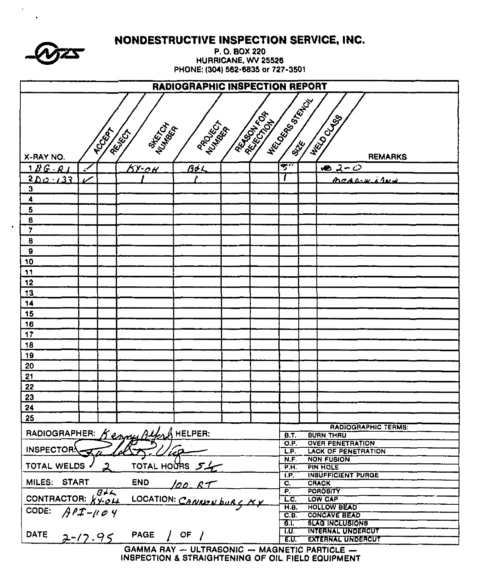|                                                                                                                                                   | NUNUESTRUCTIVE INSPECTION SERVICE, INC.<br>P.O. BOX 220<br>HURRICANE, WV 25526<br>PHONE: (304) 562-6835 or 727-3501 |                                              |                          |  |                                  |                                                               |                                             |  |  |  |  |
|---------------------------------------------------------------------------------------------------------------------------------------------------|---------------------------------------------------------------------------------------------------------------------|----------------------------------------------|--------------------------|--|----------------------------------|---------------------------------------------------------------|---------------------------------------------|--|--|--|--|
| RADIOGRAPHIC INSPECTION REPORT                                                                                                                    |                                                                                                                     |                                              |                          |  |                                  |                                                               |                                             |  |  |  |  |
| <b>HECOOL BOOM</b><br><b>ARTISTICS</b><br><b>HECO CLUBS</b><br>PROCESS T<br><b>MAKER</b><br><b>POCKAT</b><br>REIGH<br><b>REMARKS</b><br>X-RAY NO. |                                                                                                                     |                                              |                          |  |                                  |                                                               |                                             |  |  |  |  |
| 1BC. Q1                                                                                                                                           | $\overline{\phantom{a}}$                                                                                            | <u> КҮ-ск</u>                                | 60L                      |  | ينقه                             |                                                               | <u> مصرح حص</u>                             |  |  |  |  |
| $200 - 133$                                                                                                                                       | v                                                                                                                   |                                              | r                        |  |                                  |                                                               | meanw in                                    |  |  |  |  |
| $\overline{\mathbf{3}}$                                                                                                                           |                                                                                                                     |                                              |                          |  |                                  |                                                               |                                             |  |  |  |  |
| 4                                                                                                                                                 |                                                                                                                     |                                              |                          |  |                                  |                                                               |                                             |  |  |  |  |
| 5                                                                                                                                                 |                                                                                                                     |                                              |                          |  |                                  |                                                               |                                             |  |  |  |  |
| $\epsilon$                                                                                                                                        |                                                                                                                     |                                              |                          |  |                                  |                                                               |                                             |  |  |  |  |
| 7                                                                                                                                                 |                                                                                                                     |                                              |                          |  |                                  |                                                               |                                             |  |  |  |  |
| $\overline{\mathbf{6}}$                                                                                                                           |                                                                                                                     |                                              |                          |  |                                  |                                                               |                                             |  |  |  |  |
| 9                                                                                                                                                 |                                                                                                                     |                                              |                          |  |                                  |                                                               |                                             |  |  |  |  |
| 10                                                                                                                                                |                                                                                                                     |                                              |                          |  |                                  |                                                               |                                             |  |  |  |  |
| 11                                                                                                                                                |                                                                                                                     |                                              |                          |  |                                  |                                                               |                                             |  |  |  |  |
| 12                                                                                                                                                |                                                                                                                     |                                              |                          |  |                                  |                                                               |                                             |  |  |  |  |
| 13                                                                                                                                                |                                                                                                                     |                                              |                          |  |                                  |                                                               |                                             |  |  |  |  |
| 14                                                                                                                                                |                                                                                                                     |                                              |                          |  |                                  |                                                               |                                             |  |  |  |  |
| 15                                                                                                                                                |                                                                                                                     |                                              |                          |  |                                  |                                                               |                                             |  |  |  |  |
| 16                                                                                                                                                |                                                                                                                     |                                              |                          |  |                                  |                                                               |                                             |  |  |  |  |
| 17                                                                                                                                                |                                                                                                                     |                                              |                          |  |                                  |                                                               |                                             |  |  |  |  |
| 18                                                                                                                                                |                                                                                                                     |                                              |                          |  |                                  |                                                               |                                             |  |  |  |  |
| 19                                                                                                                                                |                                                                                                                     |                                              |                          |  |                                  |                                                               |                                             |  |  |  |  |
| 20                                                                                                                                                |                                                                                                                     |                                              |                          |  |                                  |                                                               |                                             |  |  |  |  |
| 21                                                                                                                                                |                                                                                                                     |                                              |                          |  |                                  |                                                               |                                             |  |  |  |  |
| 22                                                                                                                                                |                                                                                                                     |                                              |                          |  |                                  |                                                               |                                             |  |  |  |  |
| 23                                                                                                                                                |                                                                                                                     |                                              |                          |  |                                  |                                                               |                                             |  |  |  |  |
| 24                                                                                                                                                |                                                                                                                     |                                              |                          |  |                                  |                                                               |                                             |  |  |  |  |
| 25                                                                                                                                                |                                                                                                                     |                                              |                          |  |                                  |                                                               |                                             |  |  |  |  |
|                                                                                                                                                   |                                                                                                                     |                                              |                          |  |                                  |                                                               | <b>RADIOGRAPHIC TERMS:</b>                  |  |  |  |  |
|                                                                                                                                                   |                                                                                                                     | RADIOGRAPHER: Kenny Alfred HELPER:           |                          |  | <b>B.T.</b><br>O.P.              |                                                               | <b>BURN THAU</b><br><b>OVER PENETRATION</b> |  |  |  |  |
| <b>INSPECTORY</b>                                                                                                                                 |                                                                                                                     |                                              |                          |  | L.P.                             |                                                               | <b>LACK OF PENETRATION</b>                  |  |  |  |  |
|                                                                                                                                                   |                                                                                                                     |                                              |                          |  | N.F.                             |                                                               | <b>NON FUSION</b>                           |  |  |  |  |
| TOTAL WELDS                                                                                                                                       |                                                                                                                     |                                              | TOTAL HOURS 54           |  | P.H.                             |                                                               | <b>PIN HOLE</b>                             |  |  |  |  |
| MILES: START                                                                                                                                      |                                                                                                                     | <b>END</b>                                   |                          |  | TP.<br>$\overline{\mathbf{c}}$ . |                                                               | <b>INSUFFICIENT PURGE</b><br><b>CRACK</b>   |  |  |  |  |
|                                                                                                                                                   | $B+<$                                                                                                               |                                              | 100 R                    |  | P.                               |                                                               | POROBITY                                    |  |  |  |  |
| CONTRACTOR: $K\gamma_0\delta\mu$                                                                                                                  |                                                                                                                     |                                              | LOCATION: CANNAN burg KX |  | LC.                              |                                                               | LOW CAP                                     |  |  |  |  |
| CODE:                                                                                                                                             | $A$ PI- $109$                                                                                                       |                                              |                          |  |                                  | <b>HOLLOW BEAD</b><br>$\overline{H.B.}$                       |                                             |  |  |  |  |
|                                                                                                                                                   |                                                                                                                     |                                              |                          |  |                                  | C.E.<br><b>CONCAVE BEAD</b><br>8.T.<br><b>BLAG INCLUSIONS</b> |                                             |  |  |  |  |
| <b>DATE</b>                                                                                                                                       | T.U.<br><b>INTERNAL UNDERCUT</b><br><b>PAGE</b><br>OF $\sqrt{ }$                                                    |                                              |                          |  |                                  |                                                               |                                             |  |  |  |  |
|                                                                                                                                                   | $2 - 12.95$                                                                                                         |                                              |                          |  | E.U.                             |                                                               | <b>EXTERNAL UNDERCUT</b>                    |  |  |  |  |
|                                                                                                                                                   |                                                                                                                     | GAMMA RAY - ULTRASONIC - MAGNETIC PARTICLE - |                          |  |                                  |                                                               |                                             |  |  |  |  |

**CAN BROWN & A B AND MR** 

 $\bullet$   $\bullet$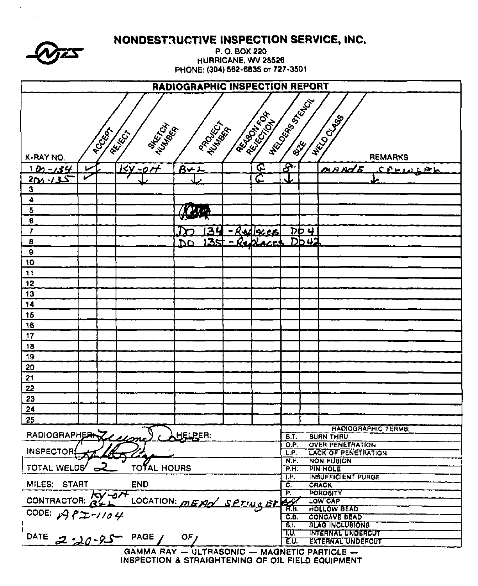|                                                                                                                                                                                   | NVNDESTAGGITTE MOPEUTIVN GERTIVE, MVG<br>P.O. BOX 220<br>HURRICANE, WV 25526<br>PHONE: (304) 562-6835 or 727-3501 |       |                                                |                 |    |  |                   |                                                                    |        |                                                |  |  |
|-----------------------------------------------------------------------------------------------------------------------------------------------------------------------------------|-------------------------------------------------------------------------------------------------------------------|-------|------------------------------------------------|-----------------|----|--|-------------------|--------------------------------------------------------------------|--------|------------------------------------------------|--|--|
|                                                                                                                                                                                   | RADIOGRAPHIC INSPECTION REPORT                                                                                    |       |                                                |                 |    |  |                   |                                                                    |        |                                                |  |  |
| <b>HECONOM STATES</b><br><b>Assistant Assistant</b><br><b>HELD CLABS</b><br><b>PROJECT</b><br><b>MARTIN</b><br>Number<br><b>PCCCCCA</b><br>REIGILI<br>X-RAY NO.<br><b>REMARKS</b> |                                                                                                                   |       |                                                |                 |    |  |                   |                                                                    |        |                                                |  |  |
| <u>1 Ds - 134</u>                                                                                                                                                                 |                                                                                                                   |       | 2r<br>kγ                                       | $B+1$           |    |  | <u>ፍ</u>          | $\mathcal{S}^n$                                                    |        | <b>MAN</b><br><u>CPHILLPL</u>                  |  |  |
| <u> 201 - د13</u>                                                                                                                                                                 | v                                                                                                                 |       |                                                |                 |    |  | ج                 |                                                                    |        |                                                |  |  |
| 3                                                                                                                                                                                 |                                                                                                                   |       |                                                |                 |    |  |                   |                                                                    |        |                                                |  |  |
| 4                                                                                                                                                                                 |                                                                                                                   |       |                                                |                 |    |  |                   |                                                                    |        |                                                |  |  |
| 5                                                                                                                                                                                 |                                                                                                                   |       |                                                | 240             |    |  |                   |                                                                    |        |                                                |  |  |
| $\pmb{6}$                                                                                                                                                                         |                                                                                                                   |       |                                                |                 |    |  |                   |                                                                    |        |                                                |  |  |
| $\overline{\mathbf{r}}$                                                                                                                                                           |                                                                                                                   |       |                                                |                 | 34 |  | <u>-Redlacers</u> |                                                                    | $DD +$ |                                                |  |  |
| 8                                                                                                                                                                                 |                                                                                                                   |       |                                                | .DO             |    |  | $35 - RoAlACes$   |                                                                    | DD42   |                                                |  |  |
| $\pmb{\theta}$                                                                                                                                                                    |                                                                                                                   |       |                                                |                 |    |  |                   |                                                                    |        |                                                |  |  |
| 10<br>$\ddagger$                                                                                                                                                                  |                                                                                                                   |       |                                                |                 |    |  |                   |                                                                    |        |                                                |  |  |
| 12                                                                                                                                                                                |                                                                                                                   |       |                                                |                 |    |  |                   |                                                                    |        |                                                |  |  |
| 13                                                                                                                                                                                |                                                                                                                   |       |                                                |                 |    |  |                   |                                                                    |        |                                                |  |  |
| 14                                                                                                                                                                                |                                                                                                                   |       |                                                |                 |    |  |                   |                                                                    |        |                                                |  |  |
| 15                                                                                                                                                                                |                                                                                                                   |       |                                                |                 |    |  |                   |                                                                    |        |                                                |  |  |
| 16                                                                                                                                                                                |                                                                                                                   |       |                                                |                 |    |  |                   |                                                                    |        |                                                |  |  |
| 17                                                                                                                                                                                |                                                                                                                   |       |                                                |                 |    |  |                   |                                                                    |        |                                                |  |  |
| 18                                                                                                                                                                                |                                                                                                                   |       |                                                |                 |    |  |                   |                                                                    |        |                                                |  |  |
| 19                                                                                                                                                                                |                                                                                                                   |       |                                                |                 |    |  |                   |                                                                    |        |                                                |  |  |
| 20                                                                                                                                                                                |                                                                                                                   |       |                                                |                 |    |  |                   |                                                                    |        |                                                |  |  |
| 21                                                                                                                                                                                |                                                                                                                   |       |                                                |                 |    |  |                   |                                                                    |        |                                                |  |  |
| 22                                                                                                                                                                                |                                                                                                                   |       |                                                |                 |    |  |                   |                                                                    |        |                                                |  |  |
| 23                                                                                                                                                                                |                                                                                                                   |       |                                                |                 |    |  |                   |                                                                    |        |                                                |  |  |
| 24                                                                                                                                                                                |                                                                                                                   |       |                                                |                 |    |  |                   |                                                                    |        |                                                |  |  |
| 25                                                                                                                                                                                |                                                                                                                   |       |                                                |                 |    |  |                   |                                                                    |        |                                                |  |  |
| RADIOGRAPHERAZ                                                                                                                                                                    |                                                                                                                   |       |                                                | HELPER:         |    |  |                   | <b>B.T.</b>                                                        |        | <b>HADIOGRAPHIC TERMS:</b><br><b>BUAN THRU</b> |  |  |
|                                                                                                                                                                                   |                                                                                                                   |       |                                                |                 |    |  |                   | O.P.                                                               |        | <b>OVER PENETRATION</b>                        |  |  |
| <b>INSPECTOR:</b>                                                                                                                                                                 |                                                                                                                   |       |                                                |                 |    |  |                   | L.P.                                                               |        | <b>LACK OF PENETRATION</b>                     |  |  |
| TOTAL WELDS                                                                                                                                                                       | $\mathbf{z}$                                                                                                      |       | <b>TOTAL HOURS</b>                             |                 |    |  |                   | N.F.<br>$\overline{P.H.}$                                          |        | <b>NON FUSION</b><br><b>PIN HOLE</b>           |  |  |
|                                                                                                                                                                                   |                                                                                                                   |       |                                                |                 |    |  |                   | TP.                                                                |        | <b>INSUFFICIENT PURGE</b>                      |  |  |
| MILES: START                                                                                                                                                                      |                                                                                                                   |       | <b>END</b>                                     |                 |    |  |                   | $\mathbf{C}$<br>$\overline{\mathsf{P}}$ .                          |        | <b>CRACK</b><br><b>POROBITY</b>                |  |  |
| <b>CONTRACTOR:</b>                                                                                                                                                                |                                                                                                                   | KY-OH |                                                |                 |    |  |                   |                                                                    |        | <b>LOW CAP</b>                                 |  |  |
|                                                                                                                                                                                   |                                                                                                                   |       | LOCATION: MEXI SPTING ST                       |                 |    |  |                   |                                                                    |        | <b>HOLLOW BEAD</b>                             |  |  |
| CODE: $A9P2-1104$                                                                                                                                                                 |                                                                                                                   |       |                                                |                 |    |  |                   | <u>св.</u>                                                         |        | <b>CONCAVE BEAD</b>                            |  |  |
|                                                                                                                                                                                   |                                                                                                                   |       |                                                |                 |    |  |                   | 8 I.<br><b>BLAG INCLUBIONS</b><br>T.U.<br><b>INTERNAL UNDERCUT</b> |        |                                                |  |  |
| <b>DATE</b>                                                                                                                                                                       |                                                                                                                   |       | / PAGE - حرم دين ج                             | OF <sub>J</sub> |    |  |                   | EU.                                                                |        | <b>EXTERNAL UNDERCUT</b>                       |  |  |
|                                                                                                                                                                                   |                                                                                                                   |       | GAMMA RAY -- ULTRASONIC -- MAGNETIC PARTICLE - |                 |    |  |                   |                                                                    |        |                                                |  |  |

NONDECTOUCTIVE INCOECTION CEDVICE INC.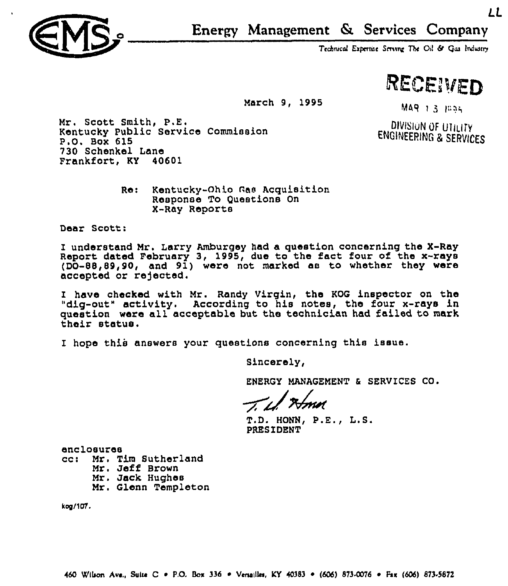

Technical Expertise Serving The Oil & Gas Industry

RECEIVED

LL

March 9, 1995

MAR 1 3 1005

DIVISION OF UTILITY ENGINEERING R SERVIGES

Mr. Scott Smith, P.E. Kentucky Public Service Commission P.O. Box 615 730 Schenkel Lane Frankfort, KY 40601

> Re: Kentucky-Ohio Gas Acquisition Response To Questions On X-Ray Reports

Dear Scott:

I understand Mr. Larry Amburgey had a question concerning the X-Ray Repoxt dated February 3, 1995, due to the fact four of the x-rays  $(DO-88, 89, 90,$  and  $91$ ) were not marked as to whether they were accepted or rejected.

I have checked with Mr. Randy Virgin, the KOG inspector on the "dig-out" activity. According to his notes, the four x-rays in question wexe all acceptable but the technician had failed to mark their status.

I hope this answers your questions concerning this issue.

Sincerely,

ENERGY MANAGEMENT & SERVICES CO.

 $T.D.$  HONN,  $P.E., L.S.$ PRESIDENT

enclosures<br>cc: Mr. T. cc: Mr, Tim Sutherland Mr. Jeff Brown Mr. Jack Hughes Mx, Glenn Templeton

kog/107.